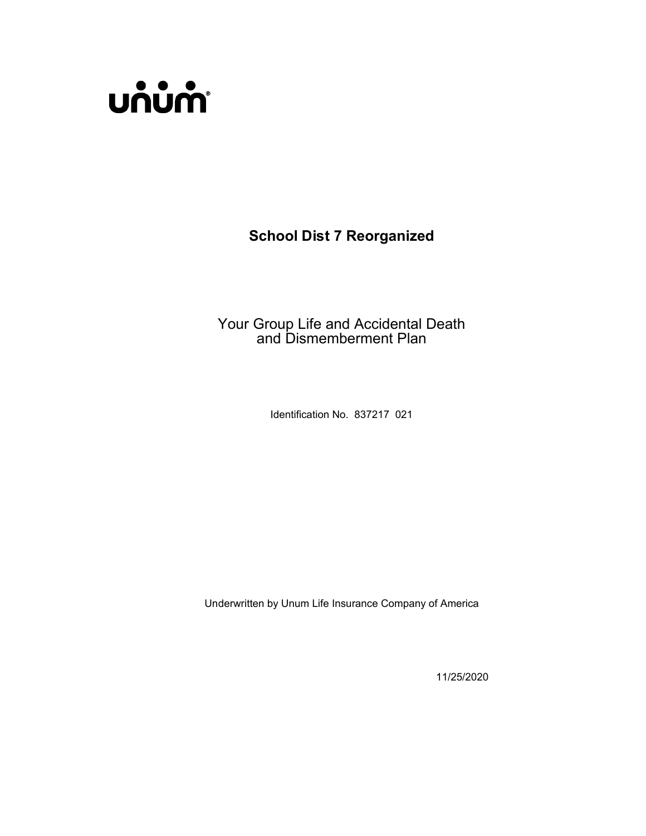

School Dist 7 Reorganized

Your Group Life and Accidental Death and Dismemberment Plan

Identification No. 837217 021

Underwritten by Unum Life Insurance Company of America

11/25/2020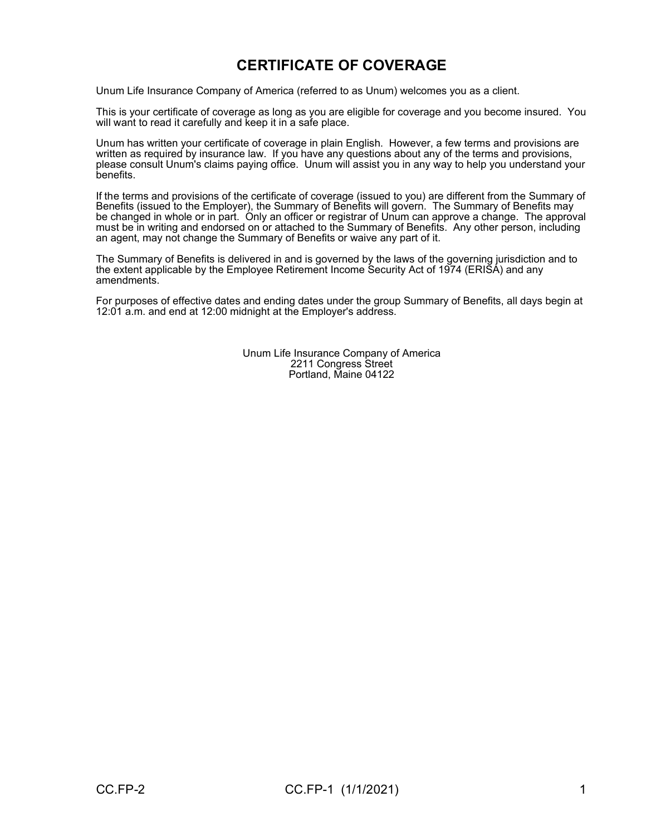# CERTIFICATE OF COVERAGE

Unum Life Insurance Company of America (referred to as Unum) welcomes you as a client.

This is your certificate of coverage as long as you are eligible for coverage and you become insured. You will want to read it carefully and keep it in a safe place.

Unum has written your certificate of coverage in plain English. However, a few terms and provisions are written as required by insurance law. If you have any questions about any of the terms and provisions, please consult Unum's claims paying office. Unum will assist you in any way to help you understand your benefits.

If the terms and provisions of the certificate of coverage (issued to you) are different from the Summary of Benefits (issued to the Employer), the Summary of Benefits will govern. The Summary of Benefits may be changed in whole or in part. Only an officer or registrar of Unum can approve a change. The approval must be in writing and endorsed on or attached to the Summary of Benefits. Any other person, including an agent, may not change the Summary of Benefits or waive any part of it.

The Summary of Benefits is delivered in and is governed by the laws of the governing jurisdiction and to the extent applicable by the Employee Retirement Income Security Act of 1974 (ERISA) and any amendments.

For purposes of effective dates and ending dates under the group Summary of Benefits, all days begin at 12:01 a.m. and end at 12:00 midnight at the Employer's address.

> Unum Life Insurance Company of America 2211 Congress Street Portland, Maine 04122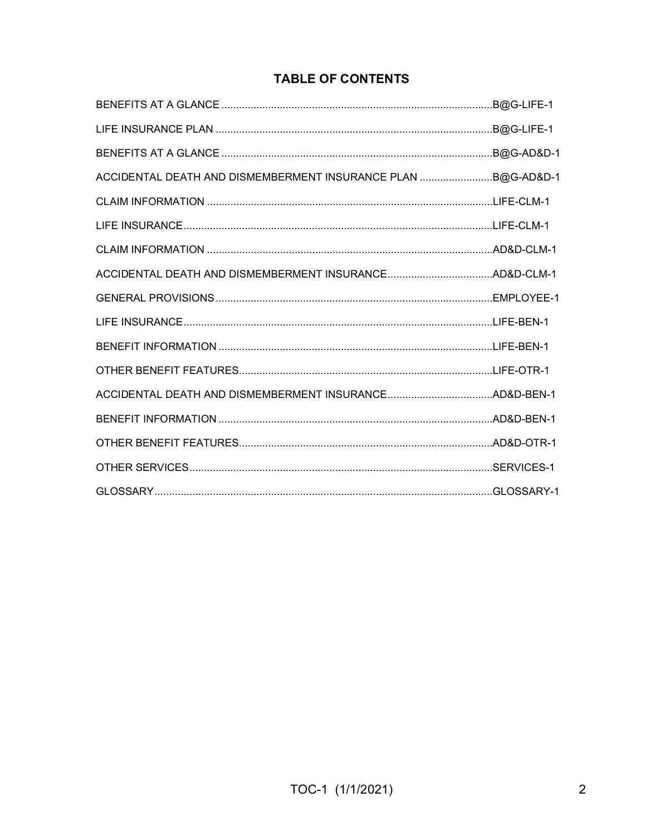## **TABLE OF CONTENTS**

|                                                              | .B@G-AD&D-1 |
|--------------------------------------------------------------|-------------|
| ACCIDENTAL DEATH AND DISMEMBERMENT INSURANCE PLAN B@G-AD&D-1 |             |
|                                                              |             |
|                                                              |             |
|                                                              |             |
|                                                              |             |
|                                                              |             |
|                                                              |             |
|                                                              |             |
|                                                              |             |
|                                                              |             |
|                                                              |             |
|                                                              |             |
|                                                              |             |
|                                                              |             |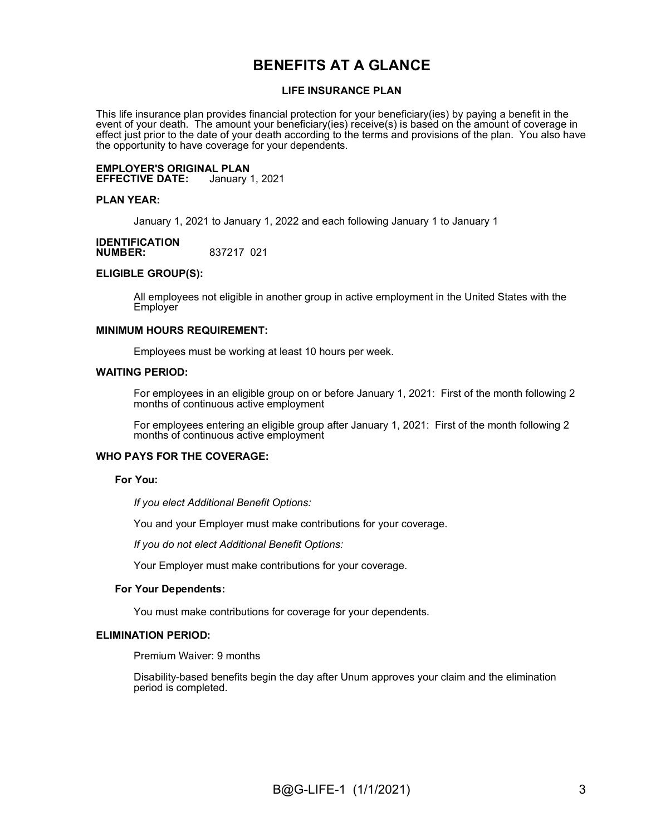## BENEFITS AT A GLANCE

#### LIFE INSURANCE PLAN

This life insurance plan provides financial protection for your beneficiary(ies) by paying a benefit in the event of your death. The amount your beneficiary(ies) receive(s) is based on the amount of coverage in effect just prior to the date of your death according to the terms and provisions of the plan. You also have the opportunity to have coverage for your dependents.

#### **EMPLOYER'S ORIGINAL PLAN<br>EFFECTIVE DATE:** January 1, 2021 **EFFECTIVE DATE:**

#### PLAN YEAR:

January 1, 2021 to January 1, 2022 and each following January 1 to January 1

#### **IDENTIFICATION**<br>NUMBER: NUMBER: 837217 021

#### ELIGIBLE GROUP(S):

All employees not eligible in another group in active employment in the United States with the **Employer** 

#### MINIMUM HOURS REQUIREMENT:

Employees must be working at least 10 hours per week.

#### WAITING PERIOD:

For employees in an eligible group on or before January 1, 2021: First of the month following 2 months of continuous active employment

For employees entering an eligible group after January 1, 2021: First of the month following 2 months of continuous active employment

#### WHO PAYS FOR THE COVERAGE:

#### For You:

If you elect Additional Benefit Options:

You and your Employer must make contributions for your coverage.

If you do not elect Additional Benefit Options:

Your Employer must make contributions for your coverage.

#### For Your Dependents:

You must make contributions for coverage for your dependents.

#### ELIMINATION PERIOD:

Premium Waiver: 9 months

Disability-based benefits begin the day after Unum approves your claim and the elimination period is completed.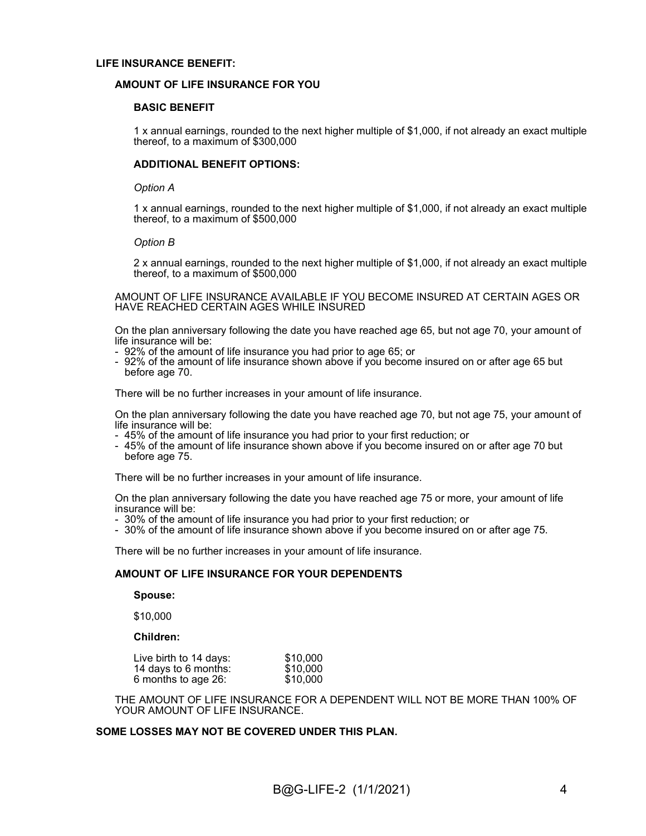#### LIFE INSURANCE BENEFIT:

#### AMOUNT OF LIFE INSURANCE FOR YOU

#### BASIC BENEFIT

1 x annual earnings, rounded to the next higher multiple of \$1,000, if not already an exact multiple thereof, to a maximum of \$300,000

#### ADDITIONAL BENEFIT OPTIONS:

#### Option A

1 x annual earnings, rounded to the next higher multiple of \$1,000, if not already an exact multiple thereof, to a maximum of \$500,000

#### Option B

2 x annual earnings, rounded to the next higher multiple of \$1,000, if not already an exact multiple thereof, to a maximum of \$500,000

AMOUNT OF LIFE INSURANCE AVAILABLE IF YOU BECOME INSURED AT CERTAIN AGES OR HAVE REACHED CERTAIN AGES WHILE INSURED

On the plan anniversary following the date you have reached age 65, but not age 70, your amount of life insurance will be:

- 92% of the amount of life insurance you had prior to age 65; or
- 92% of the amount of life insurance shown above if you become insured on or after age 65 but before age 70.

There will be no further increases in your amount of life insurance.

On the plan anniversary following the date you have reached age 70, but not age 75, your amount of life insurance will be:

- 45% of the amount of life insurance you had prior to your first reduction; or
- 45% of the amount of life insurance shown above if you become insured on or after age 70 but before age 75.

There will be no further increases in your amount of life insurance.

On the plan anniversary following the date you have reached age 75 or more, your amount of life insurance will be:

- 30% of the amount of life insurance you had prior to your first reduction; or
- 30% of the amount of life insurance shown above if you become insured on or after age 75.

There will be no further increases in your amount of life insurance.

#### AMOUNT OF LIFE INSURANCE FOR YOUR DEPENDENTS

#### Spouse:

\$10,000

#### Children:

| Live birth to 14 days: | \$10,000 |
|------------------------|----------|
| 14 days to 6 months:   | \$10,000 |
| 6 months to age 26:    | \$10,000 |

THE AMOUNT OF LIFE INSURANCE FOR A DEPENDENT WILL NOT BE MORE THAN 100% OF YOUR AMOUNT OF LIFE INSURANCE.

#### SOME LOSSES MAY NOT BE COVERED UNDER THIS PLAN.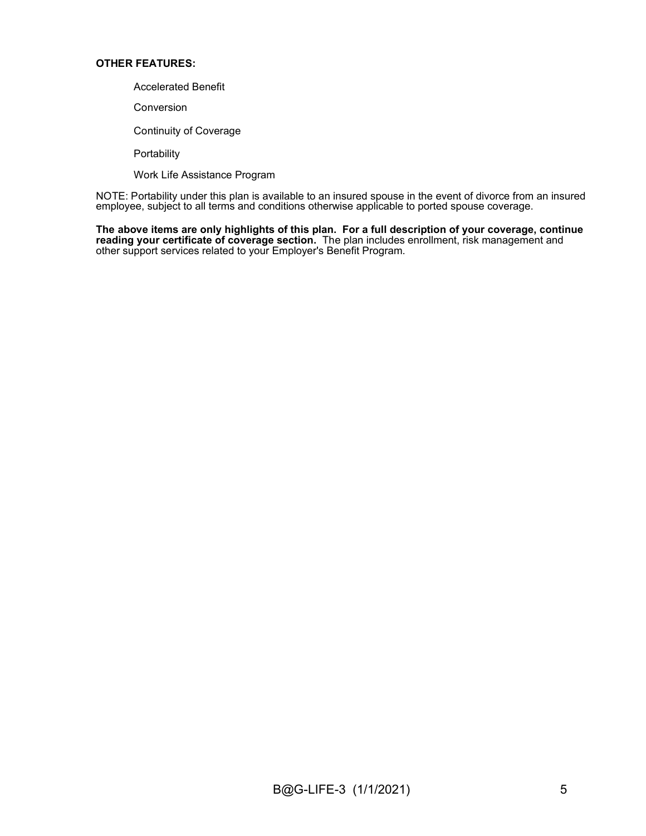#### OTHER FEATURES:

- Accelerated Benefit
- Conversion
- Continuity of Coverage

**Portability** 

Work Life Assistance Program

NOTE: Portability under this plan is available to an insured spouse in the event of divorce from an insured employee, subject to all terms and conditions otherwise applicable to ported spouse coverage.

The above items are only highlights of this plan. For a full description of your coverage, continue reading your certificate of coverage section. The plan includes enrollment, risk management and other support services related to your Employer's Benefit Program.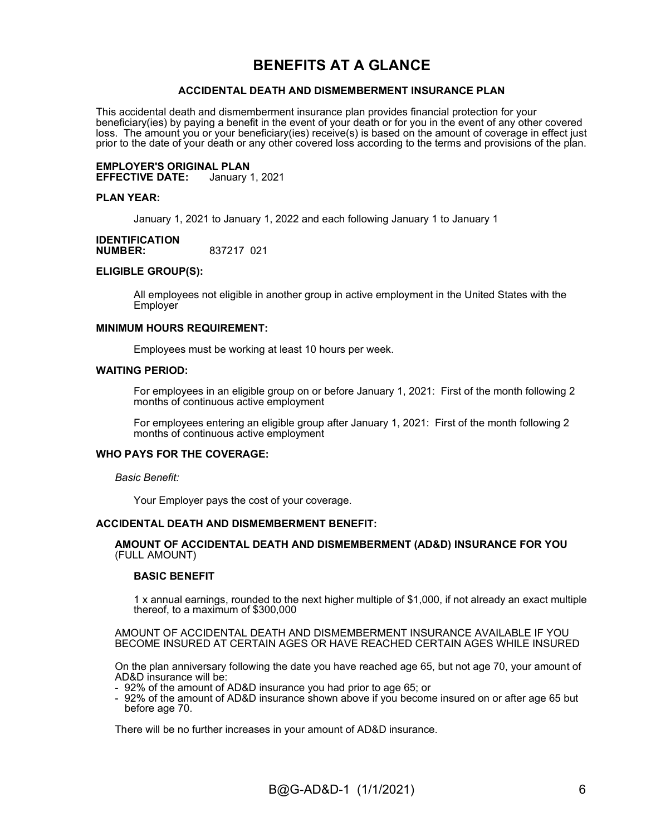## BENEFITS AT A GLANCE

#### ACCIDENTAL DEATH AND DISMEMBERMENT INSURANCE PLAN

This accidental death and dismemberment insurance plan provides financial protection for your beneficiary(ies) by paying a benefit in the event of your death or for you in the event of any other covered loss. The amount you or your beneficiary(ies) receive(s) is based on the amount of coverage in effect just prior to the date of your death or any other covered loss according to the terms and provisions of the plan.

**EMPLOYER'S ORIGINAL PLAN<br>EFFECTIVE DATE:** January 1, 2021 **EFFECTIVE DATE:** 

#### PLAN YEAR:

January 1, 2021 to January 1, 2022 and each following January 1 to January 1

#### **IDENTIFICATION**<br>NUMBER: NUMBER: 837217 021

#### ELIGIBLE GROUP(S):

All employees not eligible in another group in active employment in the United States with the **Employer** 

#### MINIMUM HOURS REQUIREMENT:

Employees must be working at least 10 hours per week.

#### WAITING PERIOD:

For employees in an eligible group on or before January 1, 2021: First of the month following 2 months of continuous active employment

For employees entering an eligible group after January 1, 2021: First of the month following 2 months of continuous active employment

#### WHO PAYS FOR THE COVERAGE:

#### Basic Benefit:

Your Employer pays the cost of your coverage.

#### ACCIDENTAL DEATH AND DISMEMBERMENT BENEFIT:

#### AMOUNT OF ACCIDENTAL DEATH AND DISMEMBERMENT (AD&D) INSURANCE FOR YOU (FULL AMOUNT)

#### BASIC BENEFIT

1 x annual earnings, rounded to the next higher multiple of \$1,000, if not already an exact multiple thereof, to a maximum of \$300,000

AMOUNT OF ACCIDENTAL DEATH AND DISMEMBERMENT INSURANCE AVAILABLE IF YOU BECOME INSURED AT CERTAIN AGES OR HAVE REACHED CERTAIN AGES WHILE INSURED

On the plan anniversary following the date you have reached age 65, but not age 70, your amount of AD&D insurance will be:

- 92% of the amount of AD&D insurance you had prior to age 65; or
- 92% of the amount of AD&D insurance shown above if you become insured on or after age 65 but before age 70.

There will be no further increases in your amount of AD&D insurance.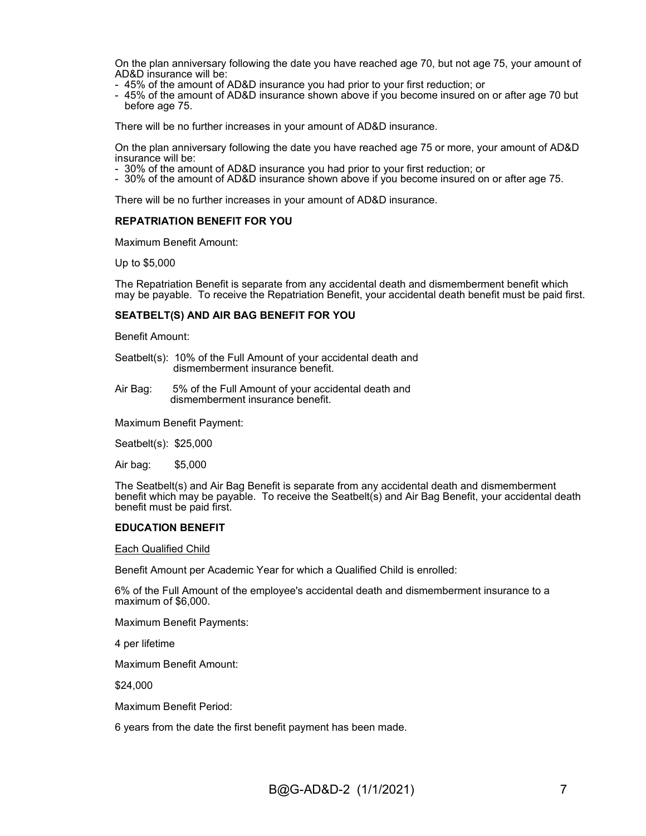On the plan anniversary following the date you have reached age 70, but not age 75, your amount of AD&D insurance will be:

- 45% of the amount of AD&D insurance you had prior to your first reduction; or
- 45% of the amount of AD&D insurance shown above if you become insured on or after age 70 but before age 75.

There will be no further increases in your amount of AD&D insurance.

On the plan anniversary following the date you have reached age 75 or more, your amount of AD&D insurance will be:

- 30% of the amount of AD&D insurance you had prior to your first reduction; or
- 30% of the amount of AD&D insurance shown above if you become insured on or after age 75.

There will be no further increases in your amount of AD&D insurance.

#### REPATRIATION BENEFIT FOR YOU

Maximum Benefit Amount:

Up to \$5,000

The Repatriation Benefit is separate from any accidental death and dismemberment benefit which may be payable. To receive the Repatriation Benefit, your accidental death benefit must be paid first.

#### SEATBELT(S) AND AIR BAG BENEFIT FOR YOU

Benefit Amount:

- Seatbelt(s): 10% of the Full Amount of your accidental death and dismemberment insurance benefit.
- Air Bag: 5% of the Full Amount of your accidental death and dismemberment insurance benefit.

Maximum Benefit Payment:

Seatbelt(s): \$25,000

Air bag: \$5,000

The Seatbelt(s) and Air Bag Benefit is separate from any accidental death and dismemberment benefit which may be payable. To receive the Seatbelt(s) and Air Bag Benefit, your accidental death benefit must be paid first.

#### EDUCATION BENEFIT

Each Qualified Child

Benefit Amount per Academic Year for which a Qualified Child is enrolled:

6% of the Full Amount of the employee's accidental death and dismemberment insurance to a maximum of \$6,000.

Maximum Benefit Payments:

4 per lifetime

Maximum Benefit Amount:

\$24,000

Maximum Benefit Period:

6 years from the date the first benefit payment has been made.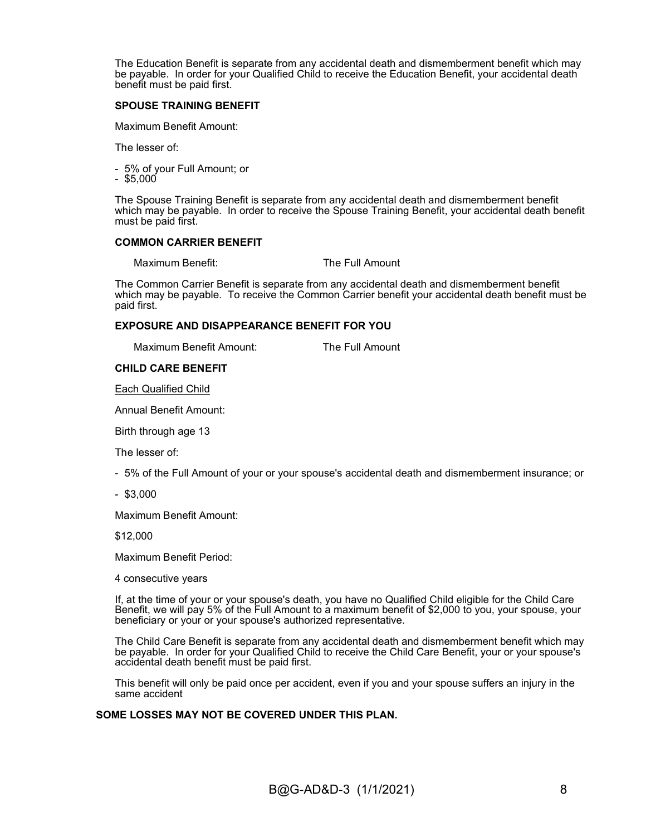The Education Benefit is separate from any accidental death and dismemberment benefit which may be payable. In order for your Qualified Child to receive the Education Benefit, your accidental death benefit must be paid first.

#### SPOUSE TRAINING BENEFIT

Maximum Benefit Amount:

The lesser of:

- 5% of your Full Amount; or
- $-$  \$5,000

The Spouse Training Benefit is separate from any accidental death and dismemberment benefit which may be payable. In order to receive the Spouse Training Benefit, your accidental death benefit must be paid first.

#### COMMON CARRIER BENEFIT

Maximum Benefit: The Full Amount

The Common Carrier Benefit is separate from any accidental death and dismemberment benefit which may be payable. To receive the Common Carrier benefit your accidental death benefit must be paid first.

#### EXPOSURE AND DISAPPEARANCE BENEFIT FOR YOU

Maximum Benefit Amount: The Full Amount

#### CHILD CARE BENEFIT

Each Qualified Child

Annual Benefit Amount:

Birth through age 13

The lesser of:

- 5% of the Full Amount of your or your spouse's accidental death and dismemberment insurance; or
- \$3,000

Maximum Benefit Amount:

\$12,000

Maximum Benefit Period:

4 consecutive years

If, at the time of your or your spouse's death, you have no Qualified Child eligible for the Child Care Benefit, we will pay 5% of the Full Amount to a maximum benefit of \$2,000 to you, your spouse, your beneficiary or your or your spouse's authorized representative.

The Child Care Benefit is separate from any accidental death and dismemberment benefit which may be payable. In order for your Qualified Child to receive the Child Care Benefit, your or your spouse's accidental death benefit must be paid first.

This benefit will only be paid once per accident, even if you and your spouse suffers an injury in the same accident

#### SOME LOSSES MAY NOT BE COVERED UNDER THIS PLAN.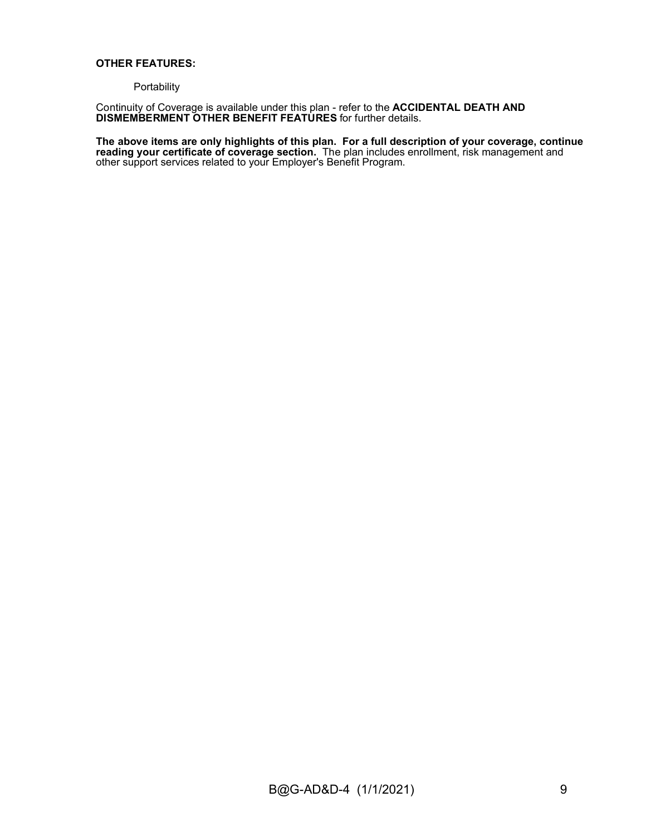#### OTHER FEATURES:

#### **Portability**

Continuity of Coverage is available under this plan - refer to the ACCIDENTAL DEATH AND DISMEMBERMENT OTHER BENEFIT FEATURES for further details.

#### The above items are only highlights of this plan. For a full description of your coverage, continue reading your certificate of coverage section. The plan includes enrollment, risk management and other support services related to your Employer's Benefit Program.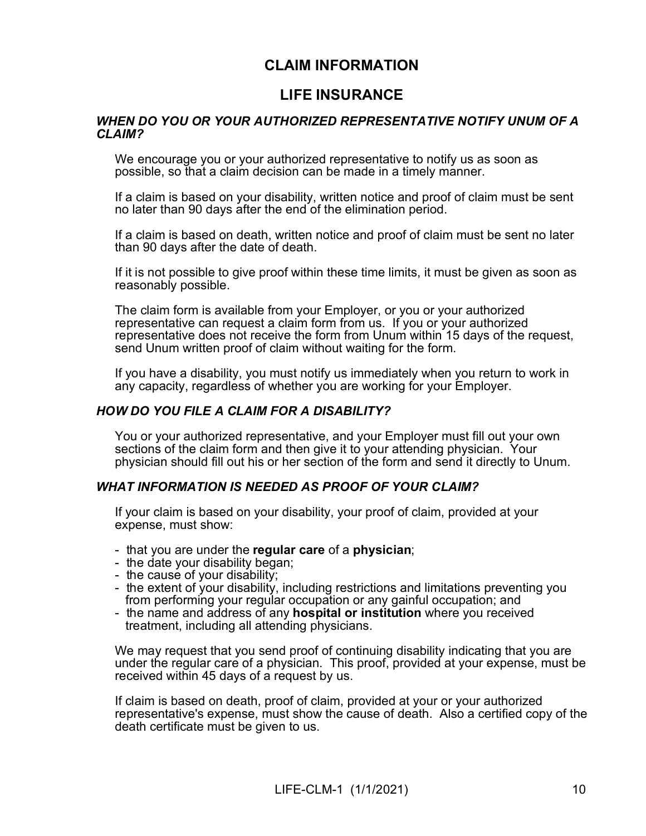## CLAIM INFORMATION

## LIFE INSURANCE

#### WHEN DO YOU OR YOUR AUTHORIZED REPRESENTATIVE NOTIFY UNUM OF A CLAIM?

We encourage you or your authorized representative to notify us as soon as possible, so that a claim decision can be made in a timely manner.

If a claim is based on your disability, written notice and proof of claim must be sent no later than 90 days after the end of the elimination period.

If a claim is based on death, written notice and proof of claim must be sent no later than 90 days after the date of death.

If it is not possible to give proof within these time limits, it must be given as soon as reasonably possible.

The claim form is available from your Employer, or you or your authorized representative can request a claim form from us. If you or your authorized representative does not receive the form from Unum within 15 days of the request, send Unum written proof of claim without waiting for the form.

If you have a disability, you must notify us immediately when you return to work in any capacity, regardless of whether you are working for your Employer.

#### HOW DO YOU FILE A CLAIM FOR A DISABILITY?

You or your authorized representative, and your Employer must fill out your own sections of the claim form and then give it to your attending physician. Your physician should fill out his or her section of the form and send it directly to Unum.

#### WHAT INFORMATION IS NEEDED AS PROOF OF YOUR CLAIM?

If your claim is based on your disability, your proof of claim, provided at your expense, must show:

- that you are under the regular care of a physician;
- the date your disability began;
- the cause of your disability;
- the extent of your disability, including restrictions and limitations preventing you from performing your regular occupation or any gainful occupation; and
- the name and address of any **hospital or institution** where you received treatment, including all attending physicians.

We may request that you send proof of continuing disability indicating that you are under the regular care of a physician. This proof, provided at your expense, must be received within 45 days of a request by us.

If claim is based on death, proof of claim, provided at your or your authorized representative's expense, must show the cause of death. Also a certified copy of the death certificate must be given to us.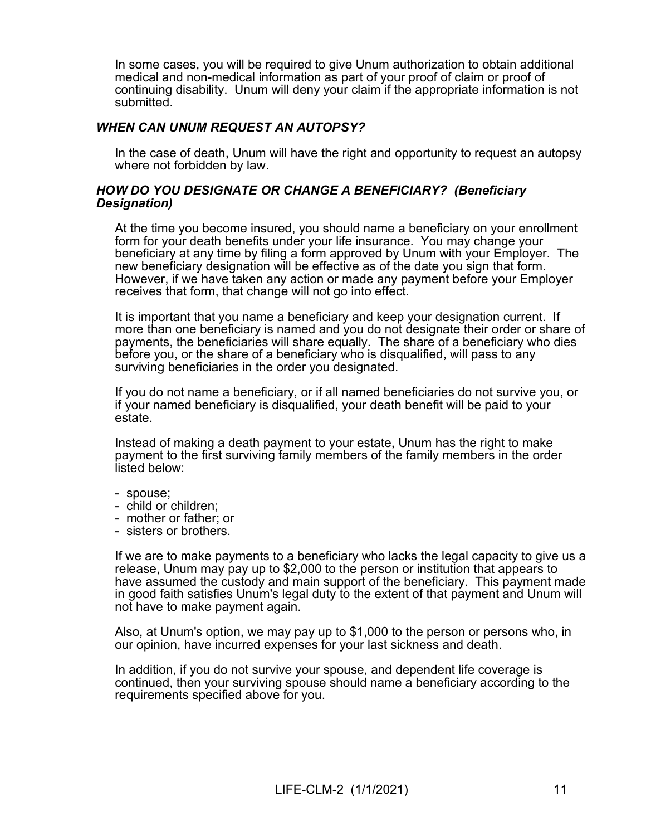In some cases, you will be required to give Unum authorization to obtain additional medical and non-medical information as part of your proof of claim or proof of continuing disability. Unum will deny your claim if the appropriate information is not submitted.

### WHEN CAN UNUM REQUEST AN AUTOPSY?

In the case of death, Unum will have the right and opportunity to request an autopsy where not forbidden by law.

#### HOW DO YOU DESIGNATE OR CHANGE A BENEFICIARY? (Beneficiary Designation)

At the time you become insured, you should name a beneficiary on your enrollment form for your death benefits under your life insurance. You may change your beneficiary at any time by filing a form approved by Unum with your Employer. The new beneficiary designation will be effective as of the date you sign that form. However, if we have taken any action or made any payment before your Employer receives that form, that change will not go into effect.

It is important that you name a beneficiary and keep your designation current. If more than one beneficiary is named and you do not designate their order or share of payments, the beneficiaries will share equally. The share of a beneficiary who dies before you, or the share of a beneficiary who is disqualified, will pass to any surviving beneficiaries in the order you designated.

If you do not name a beneficiary, or if all named beneficiaries do not survive you, or if your named beneficiary is disqualified, your death benefit will be paid to your estate.

Instead of making a death payment to your estate, Unum has the right to make payment to the first surviving family members of the family members in the order listed below:

- spouse;
- child or children;
- mother or father; or
- sisters or brothers.

If we are to make payments to a beneficiary who lacks the legal capacity to give us a release, Unum may pay up to \$2,000 to the person or institution that appears to have assumed the custody and main support of the beneficiary. This payment made in good faith satisfies Unum's legal duty to the extent of that payment and Unum will not have to make payment again.

Also, at Unum's option, we may pay up to \$1,000 to the person or persons who, in our opinion, have incurred expenses for your last sickness and death.

In addition, if you do not survive your spouse, and dependent life coverage is continued, then your surviving spouse should name a beneficiary according to the requirements specified above for you.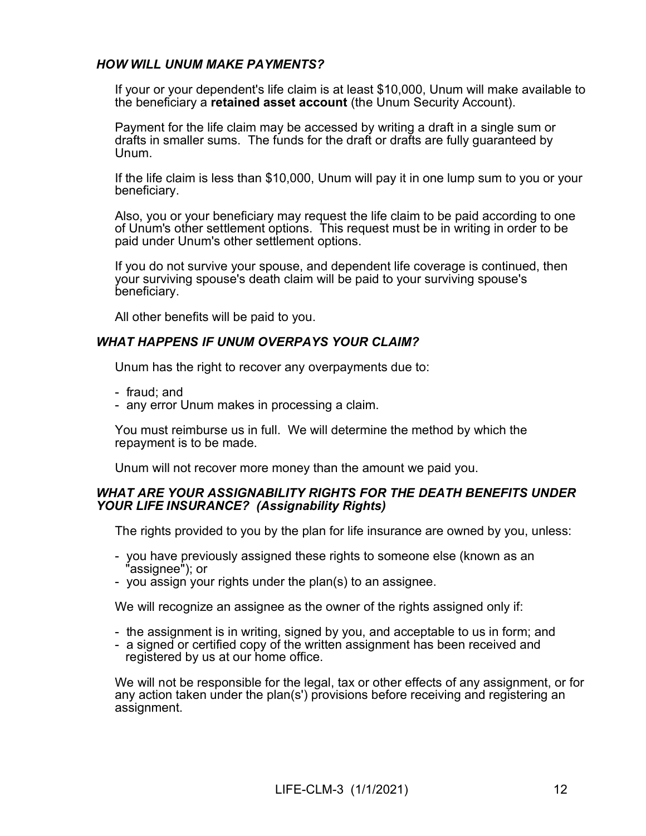### HOW WILL UNUM MAKE PAYMENTS?

If your or your dependent's life claim is at least \$10,000, Unum will make available to the beneficiary a retained asset account (the Unum Security Account).

Payment for the life claim may be accessed by writing a draft in a single sum or drafts in smaller sums. The funds for the draft or drafts are fully guaranteed by Unum.

If the life claim is less than \$10,000, Unum will pay it in one lump sum to you or your beneficiary.

Also, you or your beneficiary may request the life claim to be paid according to one of Unum's other settlement options. This request must be in writing in order to be paid under Unum's other settlement options.

If you do not survive your spouse, and dependent life coverage is continued, then your surviving spouse's death claim will be paid to your surviving spouse's beneficiary.

All other benefits will be paid to you.

### WHAT HAPPENS IF UNUM OVERPAYS YOUR CLAIM?

Unum has the right to recover any overpayments due to:

- fraud; and
- any error Unum makes in processing a claim.

You must reimburse us in full. We will determine the method by which the repayment is to be made.

Unum will not recover more money than the amount we paid you.

#### WHAT ARE YOUR ASSIGNABILITY RIGHTS FOR THE DEATH BENEFITS UNDER YOUR LIFE INSURANCE? (Assignability Rights)

The rights provided to you by the plan for life insurance are owned by you, unless:

- you have previously assigned these rights to someone else (known as an "assignee"); or
- you assign your rights under the plan(s) to an assignee.

We will recognize an assignee as the owner of the rights assigned only if:

- the assignment is in writing, signed by you, and acceptable to us in form; and
- a signed or certified copy of the written assignment has been received and registered by us at our home office.

We will not be responsible for the legal, tax or other effects of any assignment, or for any action taken under the plan(s') provisions before receiving and registering an assignment.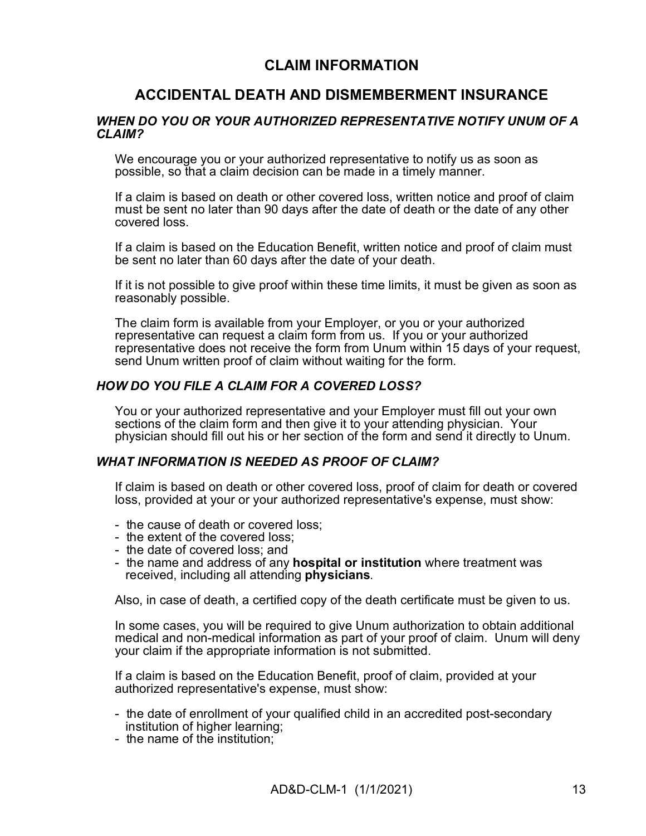## CLAIM INFORMATION

## ACCIDENTAL DEATH AND DISMEMBERMENT INSURANCE

#### WHEN DO YOU OR YOUR AUTHORIZED REPRESENTATIVE NOTIFY UNUM OF A CLAIM?

We encourage you or your authorized representative to notify us as soon as possible, so that a claim decision can be made in a timely manner.

If a claim is based on death or other covered loss, written notice and proof of claim must be sent no later than 90 days after the date of death or the date of any other covered loss.

If a claim is based on the Education Benefit, written notice and proof of claim must be sent no later than 60 days after the date of your death.

If it is not possible to give proof within these time limits, it must be given as soon as reasonably possible.

The claim form is available from your Employer, or you or your authorized representative can request a claim form from us. If you or your authorized representative does not receive the form from Unum within 15 days of your request, send Unum written proof of claim without waiting for the form.

### HOW DO YOU FILE A CLAIM FOR A COVERED LOSS?

You or your authorized representative and your Employer must fill out your own sections of the claim form and then give it to your attending physician. Your physician should fill out his or her section of the form and send it directly to Unum.

#### WHAT INFORMATION IS NEEDED AS PROOF OF CLAIM?

If claim is based on death or other covered loss, proof of claim for death or covered loss, provided at your or your authorized representative's expense, must show:

- the cause of death or covered loss;
- the extent of the covered loss;
- the date of covered loss; and
- the name and address of any hospital or institution where treatment was received, including all attending physicians.

Also, in case of death, a certified copy of the death certificate must be given to us.

In some cases, you will be required to give Unum authorization to obtain additional medical and non-medical information as part of your proof of claim. Unum will deny your claim if the appropriate information is not submitted.

If a claim is based on the Education Benefit, proof of claim, provided at your authorized representative's expense, must show:

- the date of enrollment of your qualified child in an accredited post-secondary institution of higher learning;
- the name of the institution;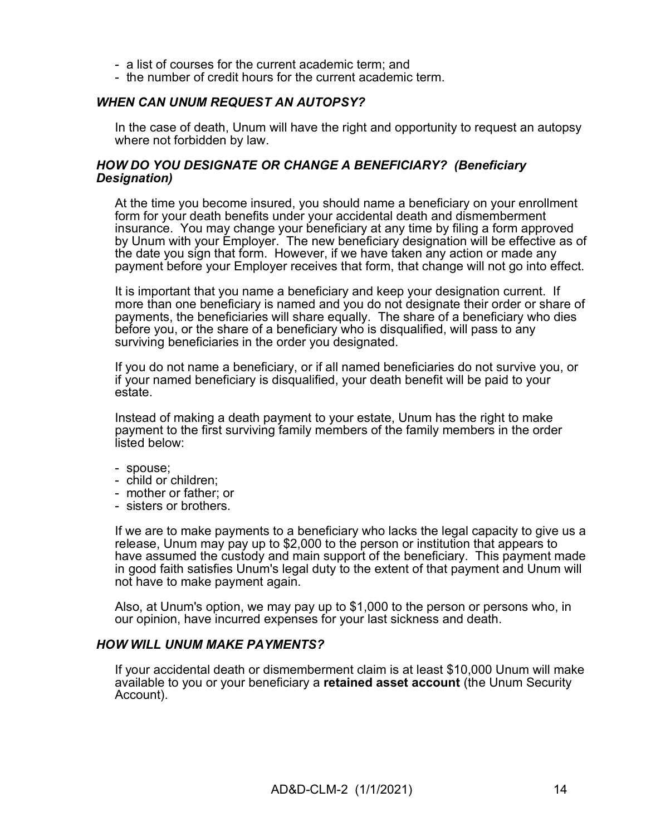- a list of courses for the current academic term; and
- the number of credit hours for the current academic term.

### WHEN CAN UNUM REQUEST AN AUTOPSY?

In the case of death, Unum will have the right and opportunity to request an autopsy where not forbidden by law.

#### HOW DO YOU DESIGNATE OR CHANGE A BENEFICIARY? (Beneficiary Designation)

At the time you become insured, you should name a beneficiary on your enrollment form for your death benefits under your accidental death and dismemberment insurance. You may change your beneficiary at any time by filing a form approved by Unum with your Employer. The new beneficiary designation will be effective as of the date you sign that form. However, if we have taken any action or made any payment before your Employer receives that form, that change will not go into effect.

It is important that you name a beneficiary and keep your designation current. If more than one beneficiary is named and you do not designate their order or share of payments, the beneficiaries will share equally. The share of a beneficiary who dies before you, or the share of a beneficiary who is disqualified, will pass to any surviving beneficiaries in the order you designated.

If you do not name a beneficiary, or if all named beneficiaries do not survive you, or if your named beneficiary is disqualified, your death benefit will be paid to your estate.

Instead of making a death payment to your estate, Unum has the right to make payment to the first surviving family members of the family members in the order listed below:

- spouse;
- child or children;
- mother or father; or
- sisters or brothers.

If we are to make payments to a beneficiary who lacks the legal capacity to give us a release, Unum may pay up to \$2,000 to the person or institution that appears to have assumed the custody and main support of the beneficiary. This payment made in good faith satisfies Unum's legal duty to the extent of that payment and Unum will not have to make payment again.

Also, at Unum's option, we may pay up to \$1,000 to the person or persons who, in our opinion, have incurred expenses for your last sickness and death.

### HOW WILL UNUM MAKE PAYMENTS?

If your accidental death or dismemberment claim is at least \$10,000 Unum will make available to you or your beneficiary a **retained asset account** (the Unum Security Account).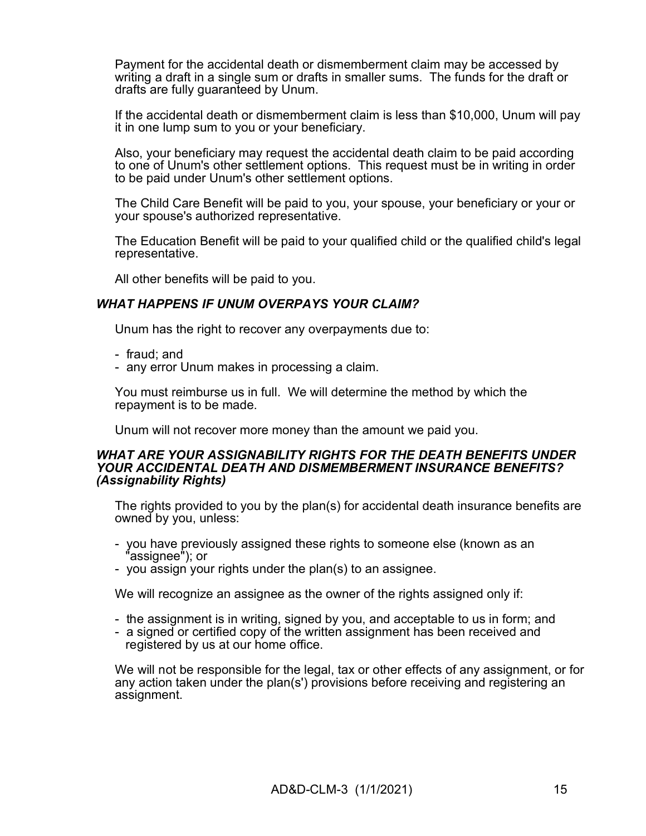Payment for the accidental death or dismemberment claim may be accessed by writing a draft in a single sum or drafts in smaller sums. The funds for the draft or drafts are fully guaranteed by Unum.

If the accidental death or dismemberment claim is less than \$10,000, Unum will pay it in one lump sum to you or your beneficiary.

Also, your beneficiary may request the accidental death claim to be paid according to one of Unum's other settlement options. This request must be in writing in order to be paid under Unum's other settlement options.

The Child Care Benefit will be paid to you, your spouse, your beneficiary or your or your spouse's authorized representative.

The Education Benefit will be paid to your qualified child or the qualified child's legal representative.

All other benefits will be paid to you.

#### WHAT HAPPENS IF UNUM OVERPAYS YOUR CLAIM?

Unum has the right to recover any overpayments due to:

- fraud; and
- any error Unum makes in processing a claim.

You must reimburse us in full. We will determine the method by which the repayment is to be made.

Unum will not recover more money than the amount we paid you.

#### WHAT ARE YOUR ASSIGNABILITY RIGHTS FOR THE DEATH BENEFITS UNDER YOUR ACCIDENTAL DEATH AND DISMEMBERMENT INSURANCE BENEFITS? (Assignability Rights)

The rights provided to you by the plan(s) for accidental death insurance benefits are owned by you, unless:

- you have previously assigned these rights to someone else (known as an 'assignee"); or
- you assign your rights under the plan(s) to an assignee.

We will recognize an assignee as the owner of the rights assigned only if:

- the assignment is in writing, signed by you, and acceptable to us in form; and
- a signed or certified copy of the written assignment has been received and registered by us at our home office.

We will not be responsible for the legal, tax or other effects of any assignment, or for any action taken under the plan(s') provisions before receiving and registering an assignment.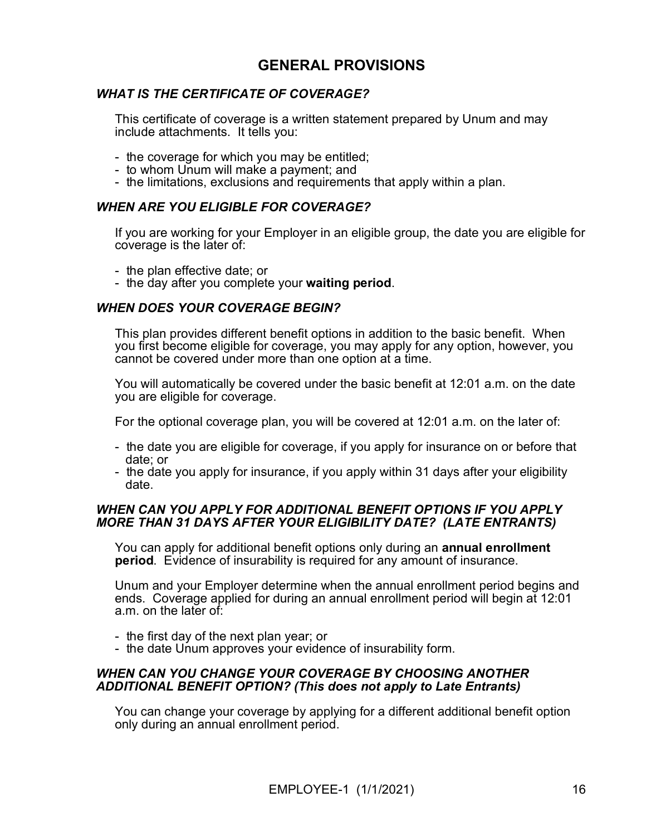## GENERAL PROVISIONS

### WHAT IS THE CERTIFICATE OF COVERAGE?

This certificate of coverage is a written statement prepared by Unum and may include attachments. It tells you:

- the coverage for which you may be entitled;
- to whom Unum will make a payment; and
- the limitations, exclusions and requirements that apply within a plan.

### WHEN ARE YOU ELIGIBLE FOR COVERAGE?

If you are working for your Employer in an eligible group, the date you are eligible for coverage is the later of:

- the plan effective date; or
- the day after you complete your waiting period.

### WHEN DOES YOUR COVERAGE BEGIN?

This plan provides different benefit options in addition to the basic benefit. When you first become eligible for coverage, you may apply for any option, however, you cannot be covered under more than one option at a time.

You will automatically be covered under the basic benefit at 12:01 a.m. on the date you are eligible for coverage.

For the optional coverage plan, you will be covered at 12:01 a.m. on the later of:

- the date you are eligible for coverage, if you apply for insurance on or before that date; or
- the date you apply for insurance, if you apply within 31 days after your eligibility date.

#### WHEN CAN YOU APPLY FOR ADDITIONAL BENEFIT OPTIONS IF YOU APPLY MORE THAN 31 DAYS AFTER YOUR ELIGIBILITY DATE? (LATE ENTRANTS)

You can apply for additional benefit options only during an annual enrollment period. Evidence of insurability is required for any amount of insurance.

Unum and your Employer determine when the annual enrollment period begins and ends. Coverage applied for during an annual enrollment period will begin at 12:01 a.m. on the later of:

- the first day of the next plan year; or
- the date Unum approves your evidence of insurability form.

### WHEN CAN YOU CHANGE YOUR COVERAGE BY CHOOSING ANOTHER ADDITIONAL BENEFIT OPTION? (This does not apply to Late Entrants)

You can change your coverage by applying for a different additional benefit option only during an annual enrollment period.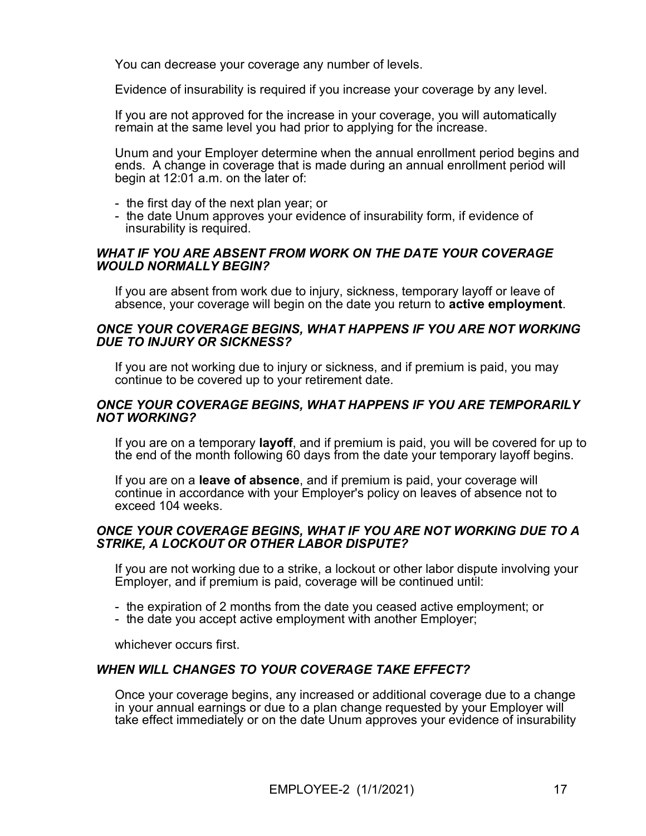You can decrease your coverage any number of levels.

Evidence of insurability is required if you increase your coverage by any level.

If you are not approved for the increase in your coverage, you will automatically remain at the same level you had prior to applying for the increase.

Unum and your Employer determine when the annual enrollment period begins and ends. A change in coverage that is made during an annual enrollment period will begin at 12:01 a.m. on the later of:

- the first day of the next plan year; or
- the date Unum approves your evidence of insurability form, if evidence of insurability is required.

### WHAT IF YOU ARE ABSENT FROM WORK ON THE DATE YOUR COVERAGE WOULD NORMALLY BEGIN?

If you are absent from work due to injury, sickness, temporary layoff or leave of absence, your coverage will begin on the date you return to active employment.

#### ONCE YOUR COVERAGE BEGINS, WHAT HAPPENS IF YOU ARE NOT WORKING DUE TO INJURY OR SICKNESS?

If you are not working due to injury or sickness, and if premium is paid, you may continue to be covered up to your retirement date.

### ONCE YOUR COVERAGE BEGINS, WHAT HAPPENS IF YOU ARE TEMPORARILY NOT WORKING?

If you are on a temporary layoff, and if premium is paid, you will be covered for up to the end of the month following 60 days from the date your temporary layoff begins.

If you are on a **leave of absence**, and if premium is paid, your coverage will continue in accordance with your Employer's policy on leaves of absence not to exceed 104 weeks.

### ONCE YOUR COVERAGE BEGINS, WHAT IF YOU ARE NOT WORKING DUE TO A STRIKE, A LOCKOUT OR OTHER LABOR DISPUTE?

If you are not working due to a strike, a lockout or other labor dispute involving your Employer, and if premium is paid, coverage will be continued until:

- the expiration of 2 months from the date you ceased active employment; or
- the date you accept active employment with another Employer;

whichever occurs first.

### WHEN WILL CHANGES TO YOUR COVERAGE TAKE EFFECT?

Once your coverage begins, any increased or additional coverage due to a change in your annual earnings or due to a plan change requested by your Employer will take effect immediately or on the date Unum approves your evidence of insurability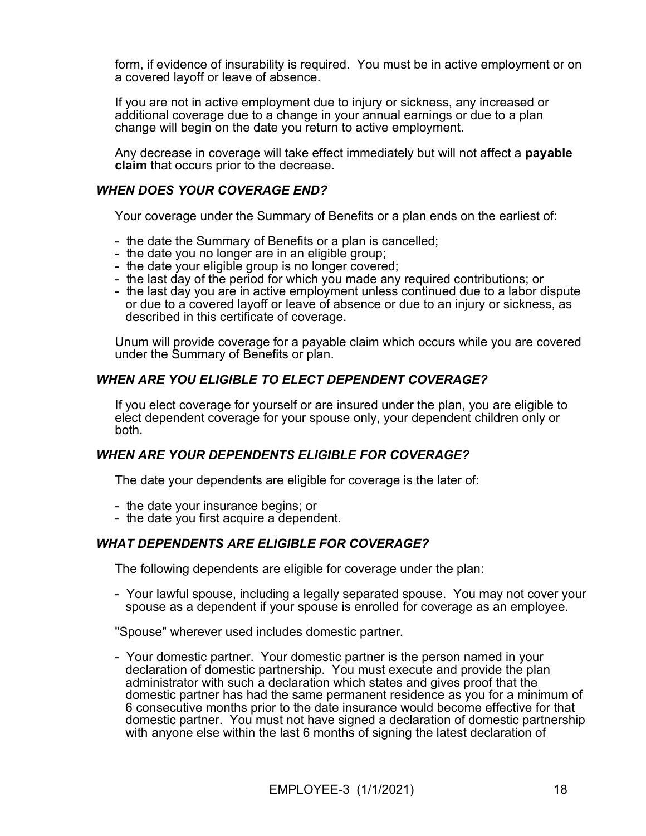form, if evidence of insurability is required. You must be in active employment or on a covered layoff or leave of absence.

If you are not in active employment due to injury or sickness, any increased or additional coverage due to a change in your annual earnings or due to a plan change will begin on the date you return to active employment.

Any decrease in coverage will take effect immediately but will not affect a payable claim that occurs prior to the decrease.

#### WHEN DOES YOUR COVERAGE END?

Your coverage under the Summary of Benefits or a plan ends on the earliest of:

- the date the Summary of Benefits or a plan is cancelled;
- the date you no longer are in an eligible group;
- the date your eligible group is no longer covered;
- the last day of the period for which you made any required contributions; or
- the last day you are in active employment unless continued due to a labor dispute or due to a covered layoff or leave of absence or due to an injury or sickness, as described in this certificate of coverage.

Unum will provide coverage for a payable claim which occurs while you are covered under the Summary of Benefits or plan.

### WHEN ARE YOU ELIGIBLE TO ELECT DEPENDENT COVERAGE?

If you elect coverage for yourself or are insured under the plan, you are eligible to elect dependent coverage for your spouse only, your dependent children only or both.

#### WHEN ARE YOUR DEPENDENTS ELIGIBLE FOR COVERAGE?

The date your dependents are eligible for coverage is the later of:

- the date your insurance begins; or
- the date you first acquire a dependent.

### WHAT DEPENDENTS ARE ELIGIBLE FOR COVERAGE?

The following dependents are eligible for coverage under the plan:

- Your lawful spouse, including a legally separated spouse. You may not cover your spouse as a dependent if your spouse is enrolled for coverage as an employee.

"Spouse" wherever used includes domestic partner.

- Your domestic partner. Your domestic partner is the person named in your declaration of domestic partnership. You must execute and provide the plan administrator with such a declaration which states and gives proof that the domestic partner has had the same permanent residence as you for a minimum of 6 consecutive months prior to the date insurance would become effective for that domestic partner. You must not have signed a declaration of domestic partnership with anyone else within the last 6 months of signing the latest declaration of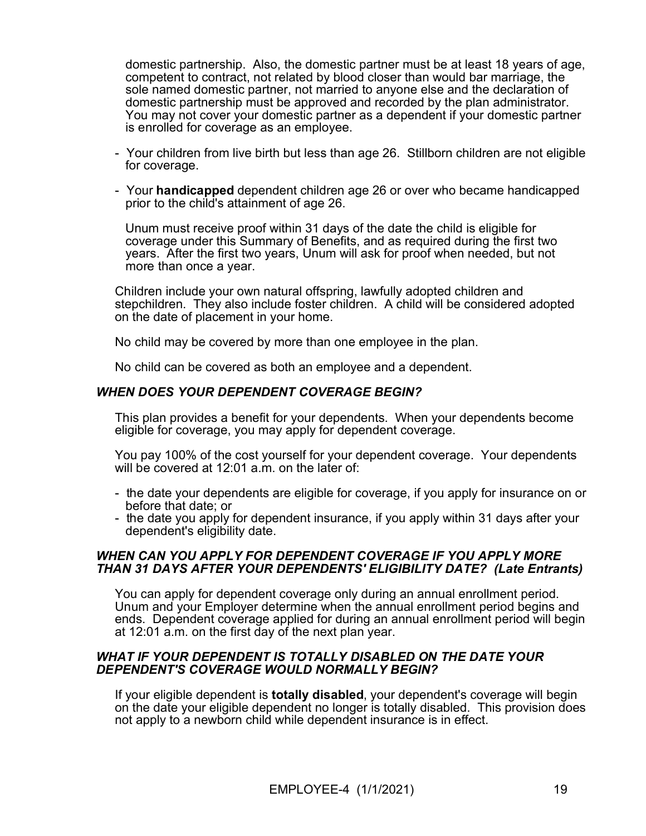domestic partnership. Also, the domestic partner must be at least 18 years of age, competent to contract, not related by blood closer than would bar marriage, the sole named domestic partner, not married to anyone else and the declaration of domestic partnership must be approved and recorded by the plan administrator. You may not cover your domestic partner as a dependent if your domestic partner is enrolled for coverage as an employee.

- Your children from live birth but less than age 26. Stillborn children are not eligible for coverage.
- Your handicapped dependent children age 26 or over who became handicapped prior to the child's attainment of age 26.

 Unum must receive proof within 31 days of the date the child is eligible for coverage under this Summary of Benefits, and as required during the first two years. After the first two years, Unum will ask for proof when needed, but not more than once a year.

Children include your own natural offspring, lawfully adopted children and stepchildren. They also include foster children. A child will be considered adopted on the date of placement in your home.

No child may be covered by more than one employee in the plan.

No child can be covered as both an employee and a dependent.

### WHEN DOES YOUR DEPENDENT COVERAGE BEGIN?

This plan provides a benefit for your dependents. When your dependents become eligible for coverage, you may apply for dependent coverage.

You pay 100% of the cost yourself for your dependent coverage. Your dependents will be covered at 12:01 a.m. on the later of:

- the date your dependents are eligible for coverage, if you apply for insurance on or before that date; or
- the date you apply for dependent insurance, if you apply within 31 days after your dependent's eligibility date.

### WHEN CAN YOU APPLY FOR DEPENDENT COVERAGE IF YOU APPLY MORE THAN 31 DAYS AFTER YOUR DEPENDENTS' ELIGIBILITY DATE? (Late Entrants)

You can apply for dependent coverage only during an annual enrollment period. Unum and your Employer determine when the annual enrollment period begins and ends. Dependent coverage applied for during an annual enrollment period will begin at 12:01 a.m. on the first day of the next plan year.

### WHAT IF YOUR DEPENDENT IS TOTALLY DISABLED ON THE DATE YOUR DEPENDENT'S COVERAGE WOULD NORMALLY BEGIN?

If your eligible dependent is totally disabled, your dependent's coverage will begin on the date your eligible dependent no longer is totally disabled. This provision does not apply to a newborn child while dependent insurance is in effect.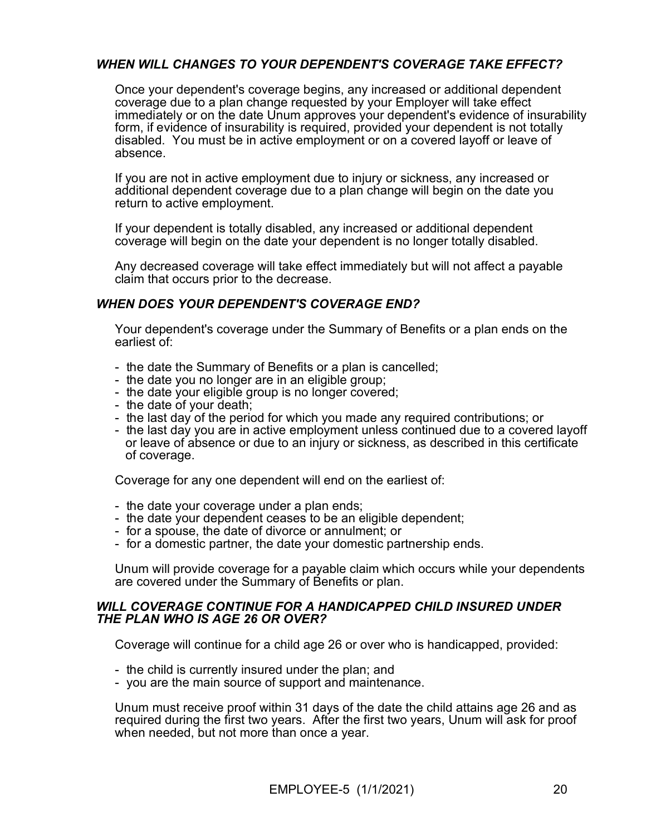### WHEN WILL CHANGES TO YOUR DEPENDENT'S COVERAGE TAKE EFFECT?

Once your dependent's coverage begins, any increased or additional dependent coverage due to a plan change requested by your Employer will take effect immediately or on the date Unum approves your dependent's evidence of insurability form, if evidence of insurability is required, provided your dependent is not totally disabled. You must be in active employment or on a covered layoff or leave of absence.

If you are not in active employment due to injury or sickness, any increased or additional dependent coverage due to a plan change will begin on the date you return to active employment.

If your dependent is totally disabled, any increased or additional dependent coverage will begin on the date your dependent is no longer totally disabled.

Any decreased coverage will take effect immediately but will not affect a payable claim that occurs prior to the decrease.

### WHEN DOES YOUR DEPENDENT'S COVERAGE END?

Your dependent's coverage under the Summary of Benefits or a plan ends on the earliest of:

- the date the Summary of Benefits or a plan is cancelled;
- the date you no longer are in an eligible group;
- the date your eligible group is no longer covered;
- the date of your death;
- the last day of the period for which you made any required contributions; or
- the last day you are in active employment unless continued due to a covered layoff or leave of absence or due to an injury or sickness, as described in this certificate of coverage.

Coverage for any one dependent will end on the earliest of:

- the date your coverage under a plan ends;
- the date your dependent ceases to be an eligible dependent;
- for a spouse, the date of divorce or annulment; or
- for a domestic partner, the date your domestic partnership ends.

Unum will provide coverage for a payable claim which occurs while your dependents are covered under the Summary of Benefits or plan.

#### WILL COVERAGE CONTINUE FOR A HANDICAPPED CHILD INSURED UNDER THE PLAN WHO IS AGE 26 OR OVER?

Coverage will continue for a child age 26 or over who is handicapped, provided:

- the child is currently insured under the plan; and
- you are the main source of support and maintenance.

Unum must receive proof within 31 days of the date the child attains age 26 and as required during the first two years. After the first two years, Unum will ask for proof when needed, but not more than once a year.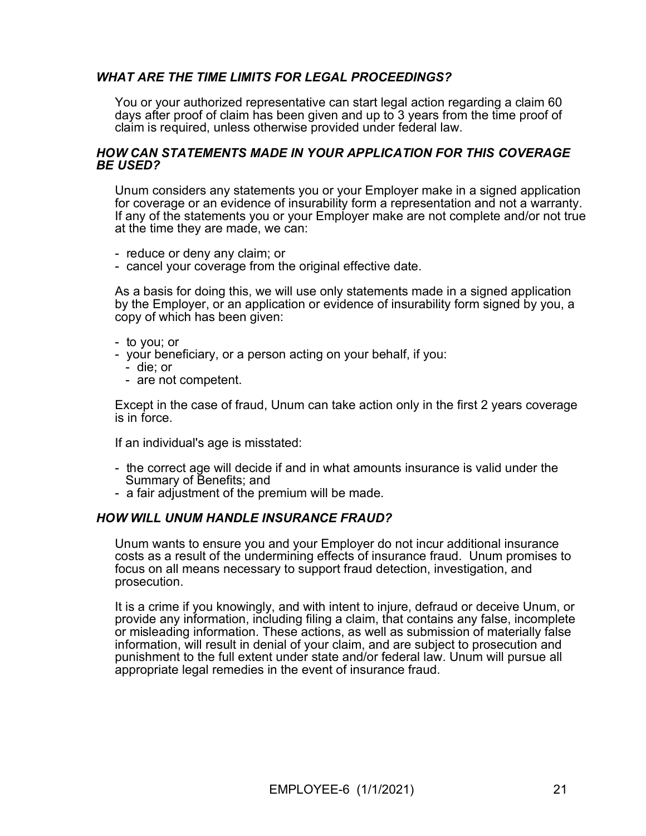### WHAT ARE THE TIME LIMITS FOR LEGAL PROCEEDINGS?

You or your authorized representative can start legal action regarding a claim 60 days after proof of claim has been given and up to 3 years from the time proof of claim is required, unless otherwise provided under federal law.

#### HOW CAN STATEMENTS MADE IN YOUR APPLICATION FOR THIS COVERAGE BE USED?

Unum considers any statements you or your Employer make in a signed application for coverage or an evidence of insurability form a representation and not a warranty. If any of the statements you or your Employer make are not complete and/or not true at the time they are made, we can:

- reduce or deny any claim; or
- cancel your coverage from the original effective date.

As a basis for doing this, we will use only statements made in a signed application by the Employer, or an application or evidence of insurability form signed by you, a copy of which has been given:

- to you; or
- your beneficiary, or a person acting on your behalf, if you:
	- die; or
	- are not competent.

Except in the case of fraud, Unum can take action only in the first 2 years coverage is in force.

If an individual's age is misstated:

- the correct age will decide if and in what amounts insurance is valid under the Summary of Benefits; and
- a fair adjustment of the premium will be made.

### HOW WILL UNUM HANDLE INSURANCE FRAUD?

Unum wants to ensure you and your Employer do not incur additional insurance costs as a result of the undermining effects of insurance fraud. Unum promises to focus on all means necessary to support fraud detection, investigation, and prosecution.

It is a crime if you knowingly, and with intent to injure, defraud or deceive Unum, or provide any information, including filing a claim, that contains any false, incomplete or misleading information. These actions, as well as submission of materially false information, will result in denial of your claim, and are subject to prosecution and punishment to the full extent under state and/or federal law. Unum will pursue all appropriate legal remedies in the event of insurance fraud.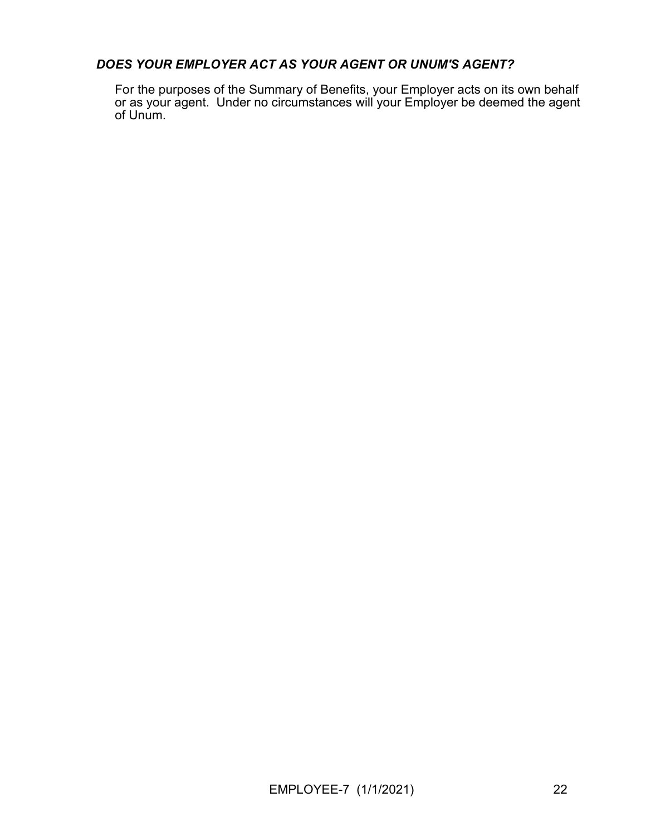### DOES YOUR EMPLOYER ACT AS YOUR AGENT OR UNUM'S AGENT?

For the purposes of the Summary of Benefits, your Employer acts on its own behalf or as your agent. Under no circumstances will your Employer be deemed the agent of Unum.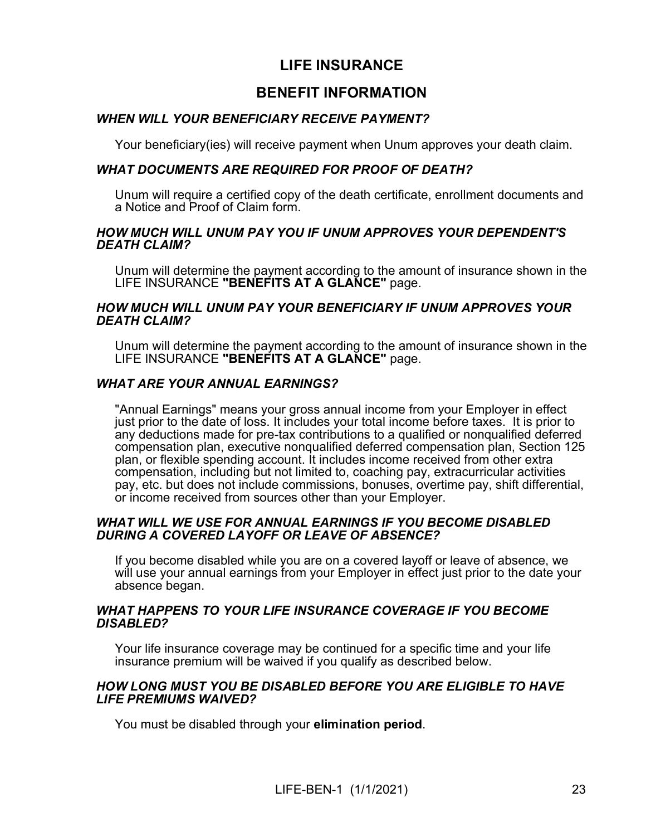## LIFE INSURANCE

## BENEFIT INFORMATION

### WHEN WILL YOUR BENEFICIARY RECEIVE PAYMENT?

Your beneficiary(ies) will receive payment when Unum approves your death claim.

### WHAT DOCUMENTS ARE REQUIRED FOR PROOF OF DEATH?

Unum will require a certified copy of the death certificate, enrollment documents and a Notice and Proof of Claim form.

#### HOW MUCH WILL UNUM PAY YOU IF UNUM APPROVES YOUR DEPENDENT'S DEATH CLAIM?

Unum will determine the payment according to the amount of insurance shown in the LIFE INSURANCE "BENEFITS AT A GLANCE" page.

### HOW MUCH WILL UNUM PAY YOUR BENEFICIARY IF UNUM APPROVES YOUR DEATH CLAIM?

Unum will determine the payment according to the amount of insurance shown in the LIFE INSURANCE "BENEFITS AT A GLANCE" page.

### WHAT ARE YOUR ANNUAL EARNINGS?

"Annual Earnings" means your gross annual income from your Employer in effect just prior to the date of loss. It includes your total income before taxes. It is prior to any deductions made for pre-tax contributions to a qualified or nonqualified deferred compensation plan, executive nonqualified deferred compensation plan, Section 125 plan, or flexible spending account. It includes income received from other extra compensation, including but not limited to, coaching pay, extracurricular activities pay, etc. but does not include commissions, bonuses, overtime pay, shift differential, or income received from sources other than your Employer.

#### WHAT WILL WE USE FOR ANNUAL EARNINGS IF YOU BECOME DISABLED DURING A COVERED LAYOFF OR LEAVE OF ABSENCE?

If you become disabled while you are on a covered layoff or leave of absence, we will use your annual earnings from your Employer in effect just prior to the date your absence began.

#### WHAT HAPPENS TO YOUR LIFE INSURANCE COVERAGE IF YOU BECOME DISABLED?

Your life insurance coverage may be continued for a specific time and your life insurance premium will be waived if you qualify as described below.

#### HOW LONG MUST YOU BE DISABLED BEFORE YOU ARE ELIGIBLE TO HAVE LIFE PREMIUMS WAIVED?

You must be disabled through your elimination period.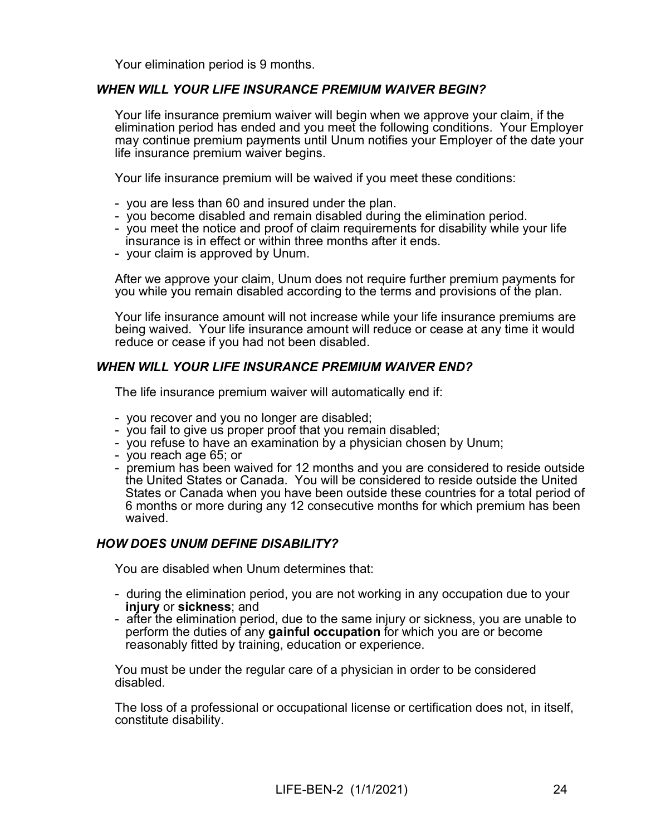Your elimination period is 9 months.

### WHEN WILL YOUR LIFE INSURANCE PREMIUM WAIVER BEGIN?

Your life insurance premium waiver will begin when we approve your claim, if the elimination period has ended and you meet the following conditions. Your Employer may continue premium payments until Unum notifies your Employer of the date your life insurance premium waiver begins.

Your life insurance premium will be waived if you meet these conditions:

- you are less than 60 and insured under the plan.
- you become disabled and remain disabled during the elimination period.
- you meet the notice and proof of claim requirements for disability while your life insurance is in effect or within three months after it ends.
- your claim is approved by Unum.

After we approve your claim, Unum does not require further premium payments for you while you remain disabled according to the terms and provisions of the plan.

Your life insurance amount will not increase while your life insurance premiums are being waived. Your life insurance amount will reduce or cease at any time it would reduce or cease if you had not been disabled.

#### WHEN WILL YOUR LIFE INSURANCE PREMIUM WAIVER END?

The life insurance premium waiver will automatically end if:

- you recover and you no longer are disabled;
- you fail to give us proper proof that you remain disabled;
- you refuse to have an examination by a physician chosen by Unum;
- you reach age 65; or
- premium has been waived for 12 months and you are considered to reside outside the United States or Canada. You will be considered to reside outside the United States or Canada when you have been outside these countries for a total period of 6 months or more during any 12 consecutive months for which premium has been waived.

### HOW DOES UNUM DEFINE DISABILITY?

You are disabled when Unum determines that:

- during the elimination period, you are not working in any occupation due to your injury or sickness; and
- after the elimination period, due to the same injury or sickness, you are unable to perform the duties of any gainful occupation for which you are or become reasonably fitted by training, education or experience.

You must be under the regular care of a physician in order to be considered disabled.

The loss of a professional or occupational license or certification does not, in itself, constitute disability.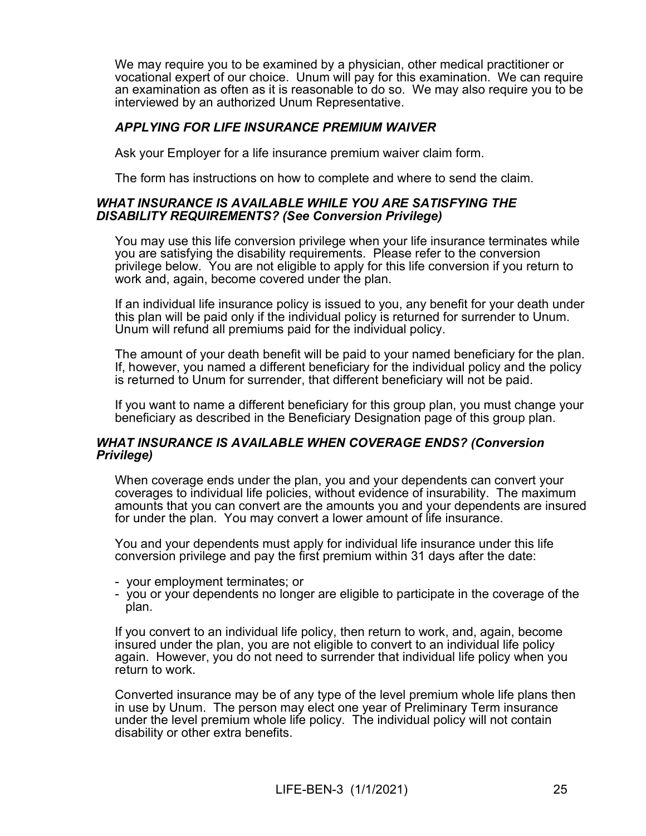We may require you to be examined by a physician, other medical practitioner or vocational expert of our choice. Unum will pay for this examination. We can require an examination as often as it is reasonable to do so. We may also require you to be interviewed by an authorized Unum Representative.

### APPLYING FOR LIFE INSURANCE PREMIUM WAIVER

Ask your Employer for a life insurance premium waiver claim form.

The form has instructions on how to complete and where to send the claim.

#### WHAT INSURANCE IS AVAILABLE WHILE YOU ARE SATISFYING THE DISABILITY REQUIREMENTS? (See Conversion Privilege)

You may use this life conversion privilege when your life insurance terminates while you are satisfying the disability requirements. Please refer to the conversion privilege below. You are not eligible to apply for this life conversion if you return to work and, again, become covered under the plan.

If an individual life insurance policy is issued to you, any benefit for your death under this plan will be paid only if the individual policy is returned for surrender to Unum. Unum will refund all premiums paid for the individual policy.

The amount of your death benefit will be paid to your named beneficiary for the plan. If, however, you named a different beneficiary for the individual policy and the policy is returned to Unum for surrender, that different beneficiary will not be paid.

If you want to name a different beneficiary for this group plan, you must change your beneficiary as described in the Beneficiary Designation page of this group plan.

### WHAT INSURANCE IS AVAILABLE WHEN COVERAGE ENDS? (Conversion Privilege)

When coverage ends under the plan, you and your dependents can convert your coverages to individual life policies, without evidence of insurability. The maximum amounts that you can convert are the amounts you and your dependents are insured for under the plan. You may convert a lower amount of life insurance.

You and your dependents must apply for individual life insurance under this life conversion privilege and pay the first premium within 31 days after the date:

- your employment terminates; or
- you or your dependents no longer are eligible to participate in the coverage of the plan.

If you convert to an individual life policy, then return to work, and, again, become insured under the plan, you are not eligible to convert to an individual life policy again. However, you do not need to surrender that individual life policy when you return to work.

Converted insurance may be of any type of the level premium whole life plans then in use by Unum. The person may elect one year of Preliminary Term insurance under the level premium whole life policy. The individual policy will not contain disability or other extra benefits.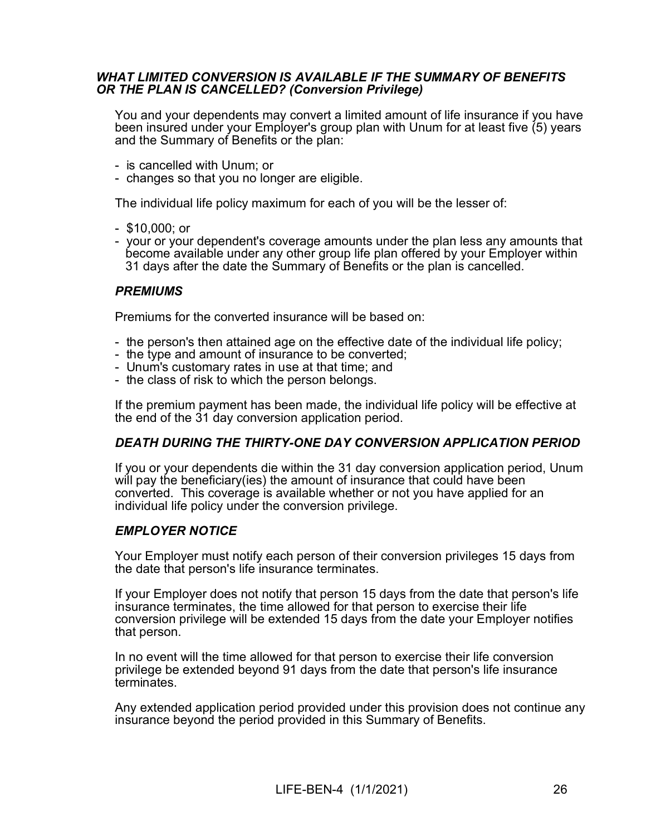### WHAT LIMITED CONVERSION IS AVAILABLE IF THE SUMMARY OF BENEFITS OR THE PLAN IS CANCELLED? (Conversion Privilege)

You and your dependents may convert a limited amount of life insurance if you have been insured under your Employer's group plan with Unum for at least five (5) years and the Summary of Benefits or the plan:

- is cancelled with Unum; or
- changes so that you no longer are eligible.

The individual life policy maximum for each of you will be the lesser of:

- \$10,000; or
- your or your dependent's coverage amounts under the plan less any amounts that become available under any other group life plan offered by your Employer within 31 days after the date the Summary of Benefits or the plan is cancelled.

### **PREMIUMS**

Premiums for the converted insurance will be based on:

- the person's then attained age on the effective date of the individual life policy;
- the type and amount of insurance to be converted;
- Unum's customary rates in use at that time; and
- the class of risk to which the person belongs.

If the premium payment has been made, the individual life policy will be effective at the end of the 31 day conversion application period.

### DEATH DURING THE THIRTY-ONE DAY CONVERSION APPLICATION PERIOD

If you or your dependents die within the 31 day conversion application period, Unum will pay the beneficiary (ies) the amount of insurance that could have been converted. This coverage is available whether or not you have applied for an individual life policy under the conversion privilege.

### EMPLOYER NOTICE

Your Employer must notify each person of their conversion privileges 15 days from the date that person's life insurance terminates.

If your Employer does not notify that person 15 days from the date that person's life insurance terminates, the time allowed for that person to exercise their life conversion privilege will be extended 15 days from the date your Employer notifies that person.

In no event will the time allowed for that person to exercise their life conversion privilege be extended beyond 91 days from the date that person's life insurance **terminates** 

Any extended application period provided under this provision does not continue any insurance beyond the period provided in this Summary of Benefits.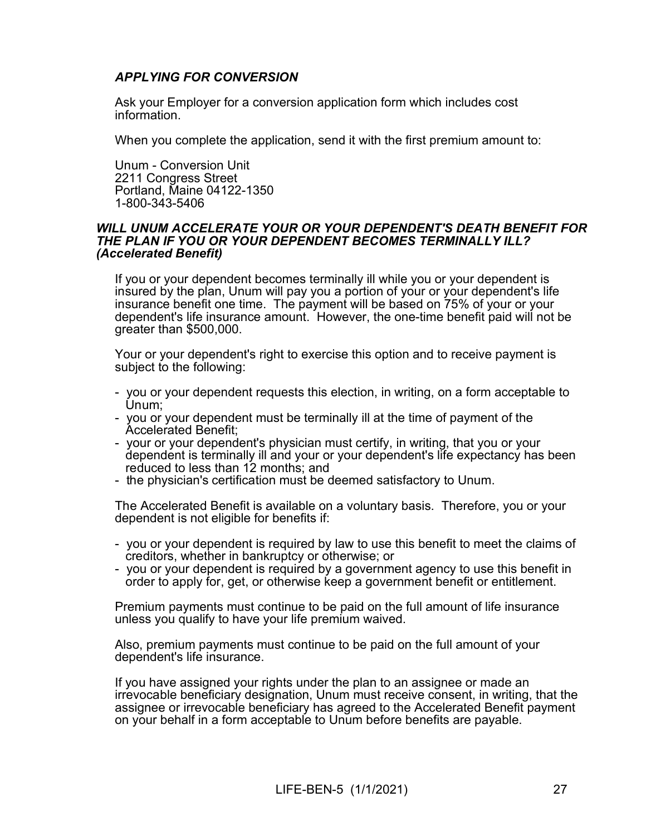### APPLYING FOR CONVERSION

Ask your Employer for a conversion application form which includes cost information.

When you complete the application, send it with the first premium amount to:

Unum - Conversion Unit 2211 Congress Street Portland, Maine 04122-1350 1-800-343-5406

#### WILL UNUM ACCELERATE YOUR OR YOUR DEPENDENT'S DEATH BENEFIT FOR THE PLAN IF YOU OR YOUR DEPENDENT BECOMES TERMINALLY ILL? (Accelerated Benefit)

If you or your dependent becomes terminally ill while you or your dependent is insured by the plan, Unum will pay you a portion of your or your dependent's life insurance benefit one time. The payment will be based on 75% of your or your dependent's life insurance amount. However, the one-time benefit paid will not be greater than \$500,000.

Your or your dependent's right to exercise this option and to receive payment is subject to the following:

- you or your dependent requests this election, in writing, on a form acceptable to Unum;
- you or your dependent must be terminally ill at the time of payment of the Accelerated Benefit;
- your or your dependent's physician must certify, in writing, that you or your dependent is terminally ill and your or your dependent's life expectancy has been reduced to less than 12 months; and
- the physician's certification must be deemed satisfactory to Unum.

The Accelerated Benefit is available on a voluntary basis. Therefore, you or your dependent is not eligible for benefits if:

- you or your dependent is required by law to use this benefit to meet the claims of creditors, whether in bankruptcy or otherwise; or
- you or your dependent is required by a government agency to use this benefit in order to apply for, get, or otherwise keep a government benefit or entitlement.

Premium payments must continue to be paid on the full amount of life insurance unless you qualify to have your life premium waived.

Also, premium payments must continue to be paid on the full amount of your dependent's life insurance.

If you have assigned your rights under the plan to an assignee or made an irrevocable beneficiary designation, Unum must receive consent, in writing, that the assignee or irrevocable beneficiary has agreed to the Accelerated Benefit payment on your behalf in a form acceptable to Unum before benefits are payable.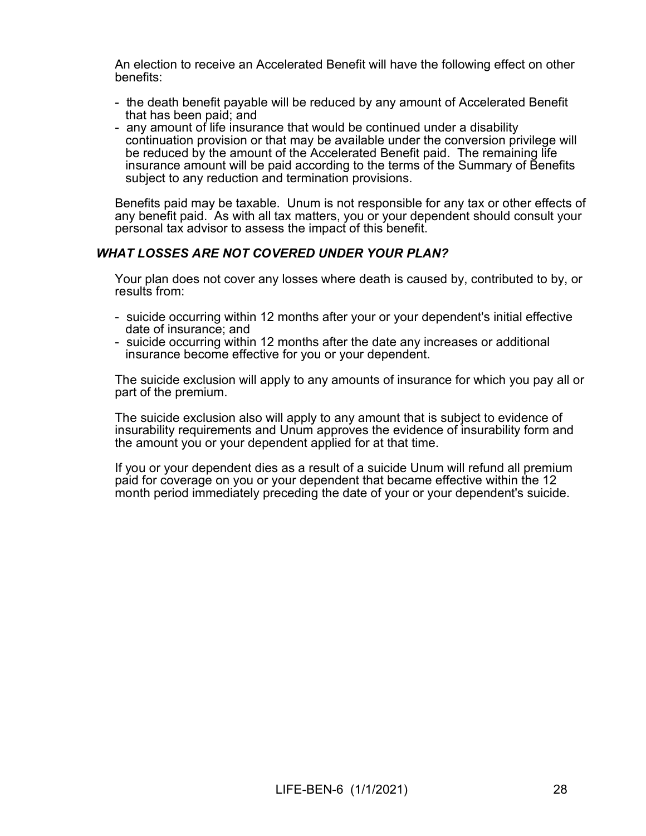An election to receive an Accelerated Benefit will have the following effect on other benefits:

- the death benefit payable will be reduced by any amount of Accelerated Benefit that has been paid; and
- any amount of life insurance that would be continued under a disability continuation provision or that may be available under the conversion privilege will be reduced by the amount of the Accelerated Benefit paid. The remaining life insurance amount will be paid according to the terms of the Summary of Benefits subject to any reduction and termination provisions.

Benefits paid may be taxable. Unum is not responsible for any tax or other effects of any benefit paid. As with all tax matters, you or your dependent should consult your personal tax advisor to assess the impact of this benefit.

### WHAT LOSSES ARE NOT COVERED UNDER YOUR PLAN?

Your plan does not cover any losses where death is caused by, contributed to by, or results from:

- suicide occurring within 12 months after your or your dependent's initial effective date of insurance; and
- suicide occurring within 12 months after the date any increases or additional insurance become effective for you or your dependent.

The suicide exclusion will apply to any amounts of insurance for which you pay all or part of the premium.

The suicide exclusion also will apply to any amount that is subject to evidence of insurability requirements and Unum approves the evidence of insurability form and the amount you or your dependent applied for at that time.

If you or your dependent dies as a result of a suicide Unum will refund all premium paid for coverage on you or your dependent that became effective within the 12 month period immediately preceding the date of your or your dependent's suicide.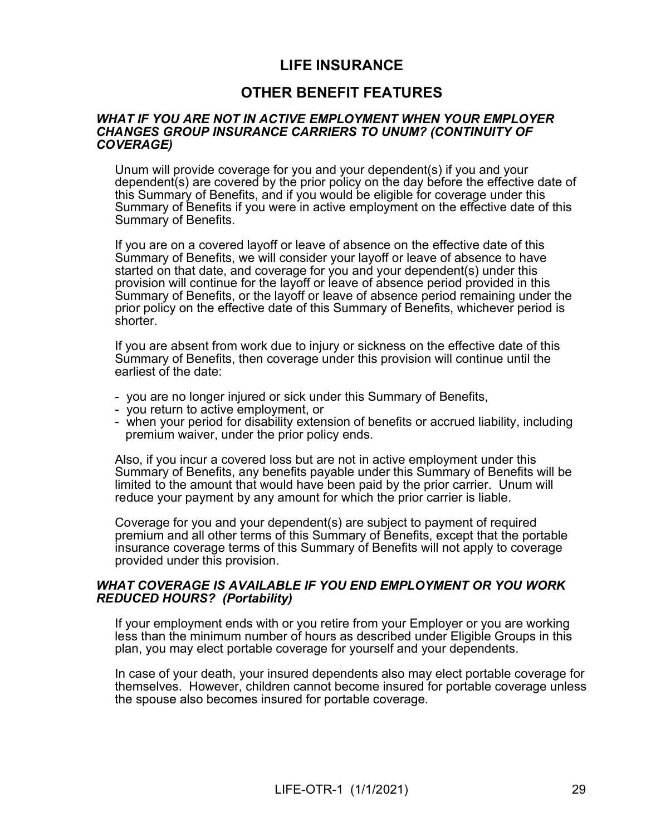## LIFE INSURANCE

## OTHER BENEFIT FEATURES

#### WHAT IF YOU ARE NOT IN ACTIVE EMPLOYMENT WHEN YOUR EMPLOYER CHANGES GROUP INSURANCE CARRIERS TO UNUM? (CONTINUITY OF COVERAGE)

Unum will provide coverage for you and your dependent(s) if you and your dependent(s) are covered by the prior policy on the day before the effective date of this Summary of Benefits, and if you would be eligible for coverage under this Summary of Benefits if you were in active employment on the effective date of this Summary of Benefits.

If you are on a covered layoff or leave of absence on the effective date of this Summary of Benefits, we will consider your layoff or leave of absence to have started on that date, and coverage for you and your dependent(s) under this provision will continue for the layoff or leave of absence period provided in this Summary of Benefits, or the layoff or leave of absence period remaining under the prior policy on the effective date of this Summary of Benefits, whichever period is shorter.

If you are absent from work due to injury or sickness on the effective date of this Summary of Benefits, then coverage under this provision will continue until the earliest of the date:

- you are no longer injured or sick under this Summary of Benefits,
- you return to active employment, or
- when your period for disability extension of benefits or accrued liability, including premium waiver, under the prior policy ends.

Also, if you incur a covered loss but are not in active employment under this Summary of Benefits, any benefits payable under this Summary of Benefits will be limited to the amount that would have been paid by the prior carrier. Unum will reduce your payment by any amount for which the prior carrier is liable.

Coverage for you and your dependent(s) are subject to payment of required premium and all other terms of this Summary of Benefits, except that the portable insurance coverage terms of this Summary of Benefits will not apply to coverage provided under this provision.

### WHAT COVERAGE IS AVAILABLE IF YOU END EMPLOYMENT OR YOU WORK REDUCED HOURS? (Portability)

If your employment ends with or you retire from your Employer or you are working less than the minimum number of hours as described under Eligible Groups in this plan, you may elect portable coverage for yourself and your dependents.

In case of your death, your insured dependents also may elect portable coverage for themselves. However, children cannot become insured for portable coverage unless the spouse also becomes insured for portable coverage.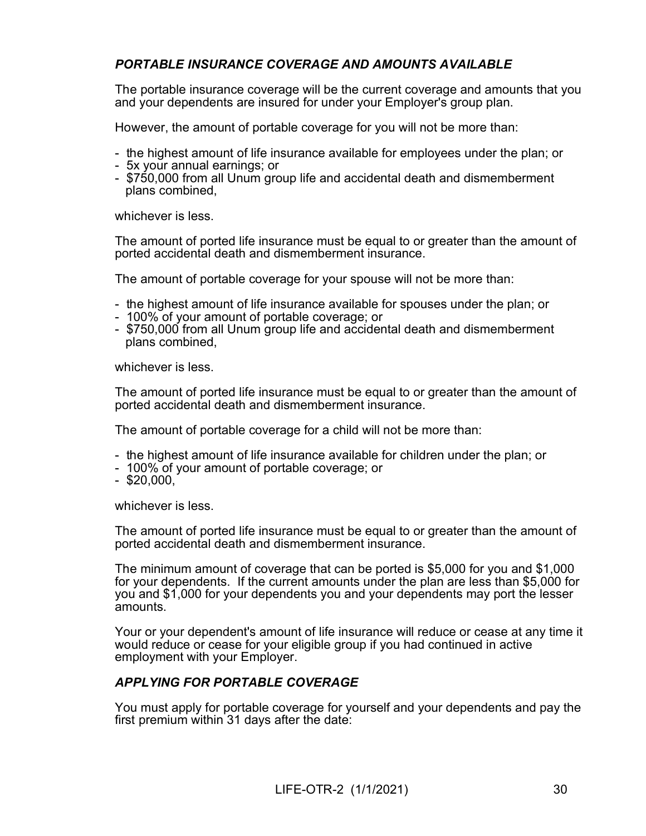## PORTABLE INSURANCE COVERAGE AND AMOUNTS AVAILABLE

The portable insurance coverage will be the current coverage and amounts that you and your dependents are insured for under your Employer's group plan.

However, the amount of portable coverage for you will not be more than:

- the highest amount of life insurance available for employees under the plan; or
- 5x your annual earnings; or
- \$750,000 from all Unum group life and accidental death and dismemberment plans combined,

whichever is less.

The amount of ported life insurance must be equal to or greater than the amount of ported accidental death and dismemberment insurance.

The amount of portable coverage for your spouse will not be more than:

- the highest amount of life insurance available for spouses under the plan; or
- 100% of your amount of portable coverage; or
- \$750,000 from all Unum group life and accidental death and dismemberment plans combined,

whichever is less.

The amount of ported life insurance must be equal to or greater than the amount of ported accidental death and dismemberment insurance.

The amount of portable coverage for a child will not be more than:

- the highest amount of life insurance available for children under the plan; or
- 100% of your amount of portable coverage; or
- $-$  \$20,000,

whichever is less.

The amount of ported life insurance must be equal to or greater than the amount of ported accidental death and dismemberment insurance.

The minimum amount of coverage that can be ported is \$5,000 for you and \$1,000 for your dependents. If the current amounts under the plan are less than \$5,000 for you and \$1,000 for your dependents you and your dependents may port the lesser amounts.

Your or your dependent's amount of life insurance will reduce or cease at any time it would reduce or cease for your eligible group if you had continued in active employment with your Employer.

### APPLYING FOR PORTABLE COVERAGE

You must apply for portable coverage for yourself and your dependents and pay the first premium within 31 days after the date: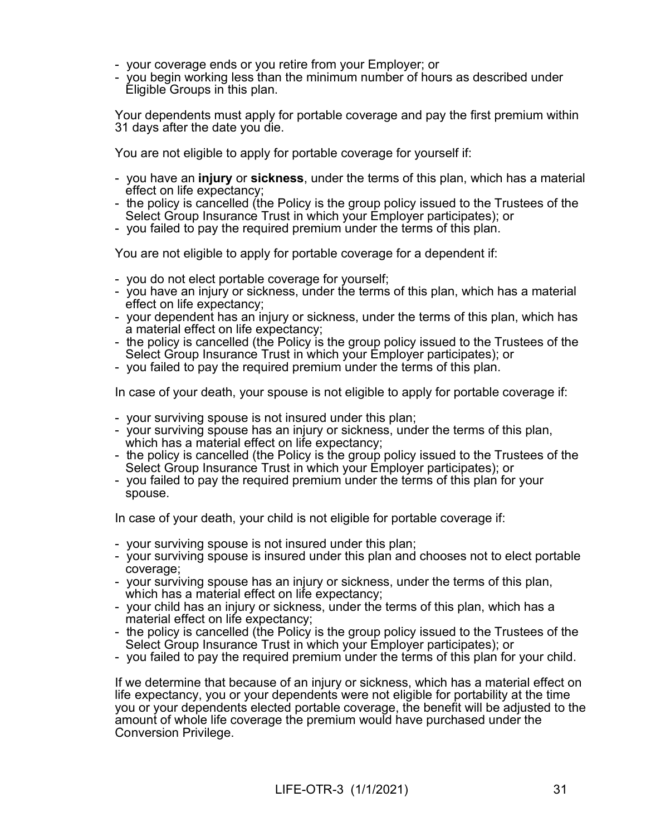- your coverage ends or you retire from your Employer; or
- you begin working less than the minimum number of hours as described under Eligible Groups in this plan.

Your dependents must apply for portable coverage and pay the first premium within 31 days after the date you die.

You are not eligible to apply for portable coverage for yourself if:

- you have an injury or sickness, under the terms of this plan, which has a material effect on life expectancy;
- the policy is cancelled (the Policy is the group policy issued to the Trustees of the Select Group Insurance Trust in which your Employer participates); or
- you failed to pay the required premium under the terms of this plan.

You are not eligible to apply for portable coverage for a dependent if:

- you do not elect portable coverage for yourself;
- you have an injury or sickness, under the terms of this plan, which has a material effect on life expectancy;
- your dependent has an injury or sickness, under the terms of this plan, which has a material effect on life expectancy;
- the policy is cancelled (the Policy is the group policy issued to the Trustees of the Select Group Insurance Trust in which your Employer participates); or
- you failed to pay the required premium under the terms of this plan.

In case of your death, your spouse is not eligible to apply for portable coverage if:

- your surviving spouse is not insured under this plan;
- your surviving spouse has an injury or sickness, under the terms of this plan, which has a material effect on life expectancy;
- the policy is cancelled (the Policy is the group policy issued to the Trustees of the Select Group Insurance Trust in which your Employer participates); or
- you failed to pay the required premium under the terms of this plan for your spouse.

In case of your death, your child is not eligible for portable coverage if:

- your surviving spouse is not insured under this plan;
- your surviving spouse is insured under this plan and chooses not to elect portable coverage;
- your surviving spouse has an injury or sickness, under the terms of this plan, which has a material effect on life expectancy;
- your child has an injury or sickness, under the terms of this plan, which has a material effect on life expectancy;
- the policy is cancelled (the Policy is the group policy issued to the Trustees of the Select Group Insurance Trust in which your Employer participates); or
- you failed to pay the required premium under the terms of this plan for your child.

If we determine that because of an injury or sickness, which has a material effect on life expectancy, you or your dependents were not eligible for portability at the time you or your dependents elected portable coverage, the benefit will be adjusted to the amount of whole life coverage the premium would have purchased under the Conversion Privilege.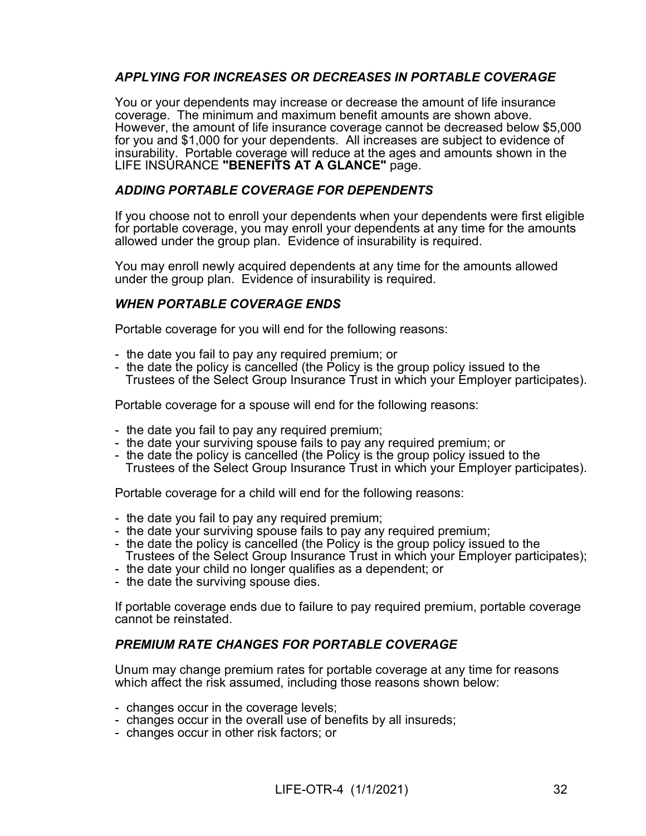## APPLYING FOR INCREASES OR DECREASES IN PORTABLE COVERAGE

You or your dependents may increase or decrease the amount of life insurance coverage. The minimum and maximum benefit amounts are shown above. However, the amount of life insurance coverage cannot be decreased below \$5,000 for you and \$1,000 for your dependents. All increases are subject to evidence of insurability. Portable coverage will reduce at the ages and amounts shown in the LIFE INSURANCE "BENEFITS AT A GLANCE" page.

### ADDING PORTABLE COVERAGE FOR DEPENDENTS

If you choose not to enroll your dependents when your dependents were first eligible for portable coverage, you may enroll your dependents at any time for the amounts allowed under the group plan. Evidence of insurability is required.

You may enroll newly acquired dependents at any time for the amounts allowed under the group plan. Evidence of insurability is required.

### WHEN PORTABLE COVERAGE ENDS

Portable coverage for you will end for the following reasons:

- the date you fail to pay any required premium; or
- the date the policy is cancelled (the Policy is the group policy issued to the Trustees of the Select Group Insurance Trust in which your Employer participates).

Portable coverage for a spouse will end for the following reasons:

- the date you fail to pay any required premium;
- the date your surviving spouse fails to pay any required premium; or
- the date the policy is cancelled (the Policy is the group policy issued to the Trustees of the Select Group Insurance Trust in which your Employer participates).

Portable coverage for a child will end for the following reasons:

- the date you fail to pay any required premium;
- the date your surviving spouse fails to pay any required premium;
- the date the policy is cancelled (the Policy is the group policy issued to the Trustees of the Select Group Insurance Trust in which your Employer participates);
- the date your child no longer qualifies as a dependent; or
- the date the surviving spouse dies.

If portable coverage ends due to failure to pay required premium, portable coverage cannot be reinstated.

### PREMIUM RATE CHANGES FOR PORTABLE COVERAGE

Unum may change premium rates for portable coverage at any time for reasons which affect the risk assumed, including those reasons shown below:

- changes occur in the coverage levels;
- changes occur in the overall use of benefits by all insureds;
- changes occur in other risk factors; or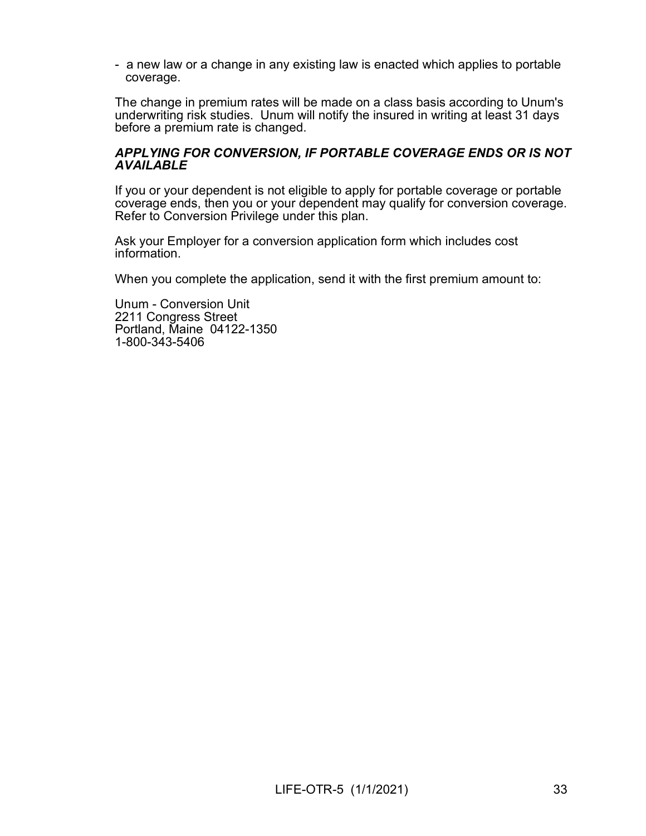- a new law or a change in any existing law is enacted which applies to portable coverage.

The change in premium rates will be made on a class basis according to Unum's underwriting risk studies. Unum will notify the insured in writing at least 31 days before a premium rate is changed.

#### APPLYING FOR CONVERSION, IF PORTABLE COVERAGE ENDS OR IS NOT **AVAILABLE**

If you or your dependent is not eligible to apply for portable coverage or portable coverage ends, then you or your dependent may qualify for conversion coverage. Refer to Conversion Privilege under this plan.

Ask your Employer for a conversion application form which includes cost information.

When you complete the application, send it with the first premium amount to:

Unum - Conversion Unit 2211 Congress Street Portland, Maine 04122-1350 1-800-343-5406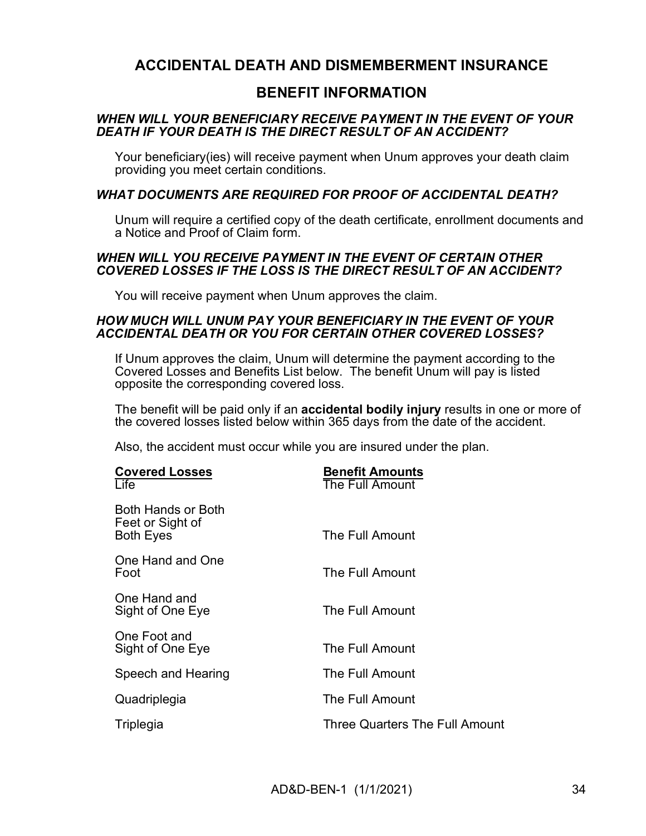## ACCIDENTAL DEATH AND DISMEMBERMENT INSURANCE

## BENEFIT INFORMATION

### WHEN WILL YOUR BENEFICIARY RECEIVE PAYMENT IN THE EVENT OF YOUR DEATH IF YOUR DEATH IS THE DIRECT RESULT OF AN ACCIDENT?

Your beneficiary(ies) will receive payment when Unum approves your death claim providing you meet certain conditions.

### WHAT DOCUMENTS ARE REQUIRED FOR PROOF OF ACCIDENTAL DEATH?

Unum will require a certified copy of the death certificate, enrollment documents and a Notice and Proof of Claim form.

#### WHEN WILL YOU RECEIVE PAYMENT IN THE EVENT OF CERTAIN OTHER COVERED LOSSES IF THE LOSS IS THE DIRECT RESULT OF AN ACCIDENT?

You will receive payment when Unum approves the claim.

#### HOW MUCH WILL UNUM PAY YOUR BENEFICIARY IN THE EVENT OF YOUR ACCIDENTAL DEATH OR YOU FOR CERTAIN OTHER COVERED LOSSES?

If Unum approves the claim, Unum will determine the payment according to the Covered Losses and Benefits List below. The benefit Unum will pay is listed opposite the corresponding covered loss.

The benefit will be paid only if an accidental bodily injury results in one or more of the covered losses listed below within 365 days from the date of the accident.

Also, the accident must occur while you are insured under the plan.

| <b>Covered Losses</b><br>Life                              | <b>Benefit Amounts</b><br>The Full Amount |
|------------------------------------------------------------|-------------------------------------------|
| Both Hands or Both<br>Feet or Sight of<br><b>Both Eyes</b> | The Full Amount                           |
| One Hand and One<br>Foot                                   | The Full Amount                           |
| One Hand and<br>Sight of One Eye                           | The Full Amount                           |
| One Foot and<br>Sight of One Eye                           | The Full Amount                           |
| Speech and Hearing                                         | The Full Amount                           |
| Quadriplegia                                               | The Full Amount                           |
| Triplegia                                                  | <b>Three Quarters The Full Amount</b>     |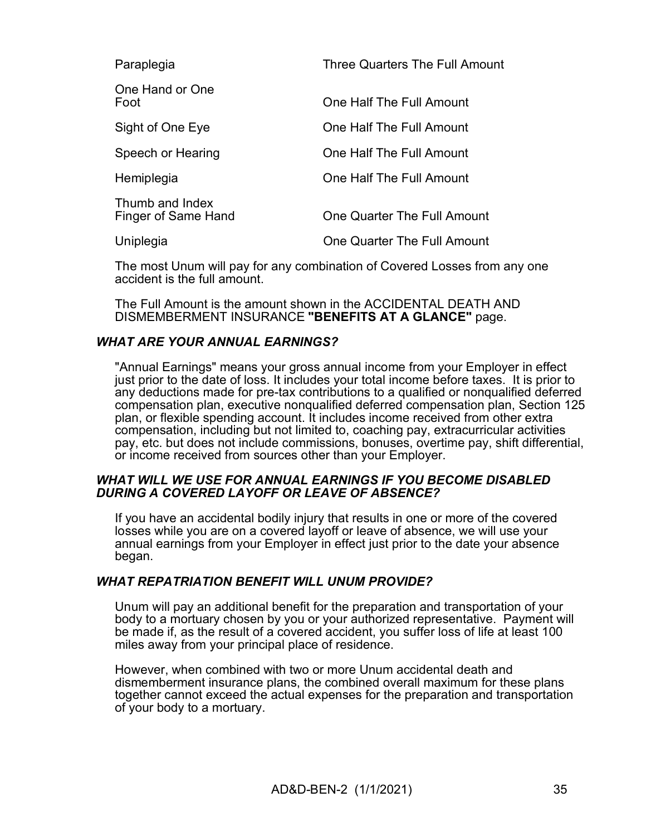| Paraplegia                             | Three Quarters The Full Amount     |
|----------------------------------------|------------------------------------|
| One Hand or One<br>Foot                | One Half The Full Amount           |
| Sight of One Eye                       | One Half The Full Amount           |
| Speech or Hearing                      | One Half The Full Amount           |
| Hemiplegia                             | One Half The Full Amount           |
| Thumb and Index<br>Finger of Same Hand | One Quarter The Full Amount        |
| Uniplegia                              | <b>One Quarter The Full Amount</b> |

The most Unum will pay for any combination of Covered Losses from any one accident is the full amount.

The Full Amount is the amount shown in the ACCIDENTAL DEATH AND DISMEMBERMENT INSURANCE "BENEFITS AT A GLANCE" page.

### WHAT ARE YOUR ANNUAL EARNINGS?

"Annual Earnings" means your gross annual income from your Employer in effect just prior to the date of loss. It includes your total income before taxes. It is prior to any deductions made for pre-tax contributions to a qualified or nonqualified deferred compensation plan, executive nonqualified deferred compensation plan, Section 125 plan, or flexible spending account. It includes income received from other extra compensation, including but not limited to, coaching pay, extracurricular activities pay, etc. but does not include commissions, bonuses, overtime pay, shift differential, or income received from sources other than your Employer.

### WHAT WILL WE USE FOR ANNUAL EARNINGS IF YOU BECOME DISABLED DURING A COVERED LAYOFF OR LEAVE OF ABSENCE?

If you have an accidental bodily injury that results in one or more of the covered losses while you are on a covered layoff or leave of absence, we will use your annual earnings from your Employer in effect just prior to the date your absence began.

### WHAT REPATRIATION BENEFIT WILL UNUM PROVIDE?

Unum will pay an additional benefit for the preparation and transportation of your body to a mortuary chosen by you or your authorized representative. Payment will be made if, as the result of a covered accident, you suffer loss of life at least 100 miles away from your principal place of residence.

However, when combined with two or more Unum accidental death and dismemberment insurance plans, the combined overall maximum for these plans together cannot exceed the actual expenses for the preparation and transportation of your body to a mortuary.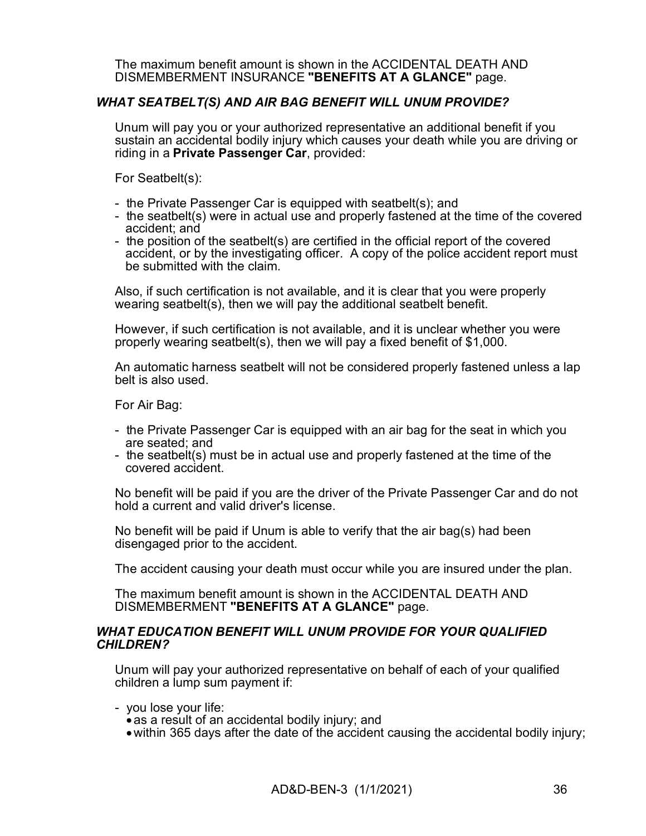The maximum benefit amount is shown in the ACCIDENTAL DEATH AND DISMEMBERMENT INSURANCE "BENEFITS AT A GLANCE" page.

### WHAT SEATBELT(S) AND AIR BAG BENEFIT WILL UNUM PROVIDE?

Unum will pay you or your authorized representative an additional benefit if you sustain an accidental bodily injury which causes your death while you are driving or riding in a Private Passenger Car, provided:

For Seatbelt(s):

- the Private Passenger Car is equipped with seatbelt(s); and
- the seatbelt(s) were in actual use and properly fastened at the time of the covered accident; and
- the position of the seatbelt(s) are certified in the official report of the covered accident, or by the investigating officer. A copy of the police accident report must be submitted with the claim.

Also, if such certification is not available, and it is clear that you were properly wearing seatbelt(s), then we will pay the additional seatbelt benefit.

However, if such certification is not available, and it is unclear whether you were properly wearing seatbelt(s), then we will pay a fixed benefit of \$1,000.

An automatic harness seatbelt will not be considered properly fastened unless a lap belt is also used.

For Air Bag:

- the Private Passenger Car is equipped with an air bag for the seat in which you are seated; and
- the seatbelt(s) must be in actual use and properly fastened at the time of the covered accident.

No benefit will be paid if you are the driver of the Private Passenger Car and do not hold a current and valid driver's license.

No benefit will be paid if Unum is able to verify that the air bag(s) had been disengaged prior to the accident.

The accident causing your death must occur while you are insured under the plan.

The maximum benefit amount is shown in the ACCIDENTAL DEATH AND DISMEMBERMENT "BENEFITS AT A GLANCE" page.

#### WHAT EDUCATION BENEFIT WILL UNUM PROVIDE FOR YOUR QUALIFIED CHILDREN?

Unum will pay your authorized representative on behalf of each of your qualified children a lump sum payment if:

- you lose your life:
	- as a result of an accidental bodily injury; and
	- within 365 days after the date of the accident causing the accidental bodily injury;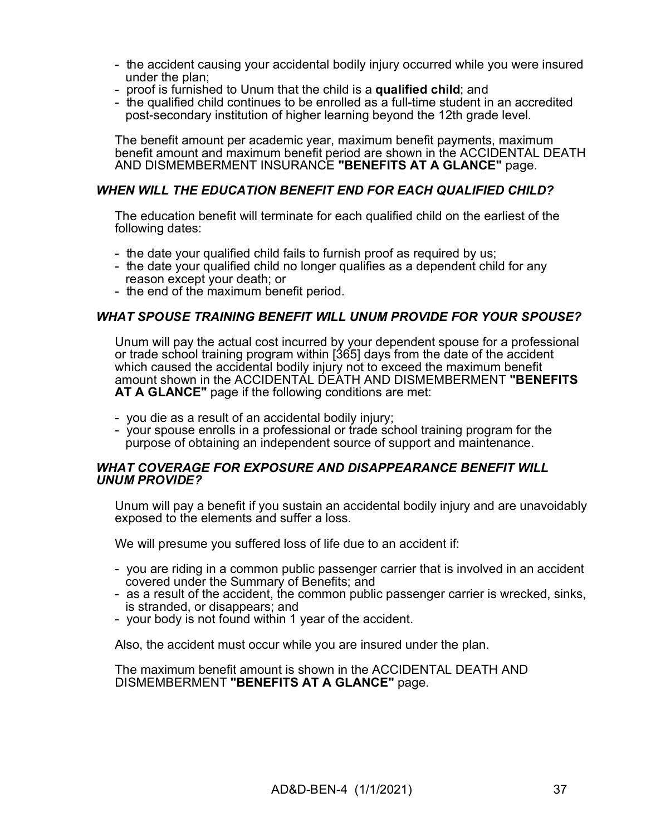- the accident causing your accidental bodily injury occurred while you were insured under the plan;
- proof is furnished to Unum that the child is a qualified child; and
- the qualified child continues to be enrolled as a full-time student in an accredited post-secondary institution of higher learning beyond the 12th grade level.

The benefit amount per academic year, maximum benefit payments, maximum benefit amount and maximum benefit period are shown in the ACCIDENTAL DEATH AND DISMEMBERMENT INSURANCE "BENEFITS AT A GLANCE" page.

### WHEN WILL THE EDUCATION BENEFIT END FOR EACH QUALIFIED CHILD?

The education benefit will terminate for each qualified child on the earliest of the following dates:

- the date your qualified child fails to furnish proof as required by us;
- the date your qualified child no longer qualifies as a dependent child for any reason except your death; or
- the end of the maximum benefit period.

### WHAT SPOUSE TRAINING BENEFIT WILL UNUM PROVIDE FOR YOUR SPOUSE?

Unum will pay the actual cost incurred by your dependent spouse for a professional or trade school training program within [365] days from the date of the accident which caused the accidental bodily injury not to exceed the maximum benefit amount shown in the ACCIDENTAL DEATH AND DISMEMBERMENT "BENEFITS AT A GLANCE" page if the following conditions are met:

- you die as a result of an accidental bodily injury;
- your spouse enrolls in a professional or trade school training program for the purpose of obtaining an independent source of support and maintenance.

#### WHAT COVERAGE FOR EXPOSURE AND DISAPPEARANCE BENEFIT WILL UNUM PROVIDE?

Unum will pay a benefit if you sustain an accidental bodily injury and are unavoidably exposed to the elements and suffer a loss.

We will presume you suffered loss of life due to an accident if:

- you are riding in a common public passenger carrier that is involved in an accident covered under the Summary of Benefits; and
- as a result of the accident, the common public passenger carrier is wrecked, sinks, is stranded, or disappears; and
- your body is not found within 1 year of the accident.

Also, the accident must occur while you are insured under the plan.

The maximum benefit amount is shown in the ACCIDENTAL DEATH AND DISMEMBERMENT "BENEFITS AT A GLANCE" page.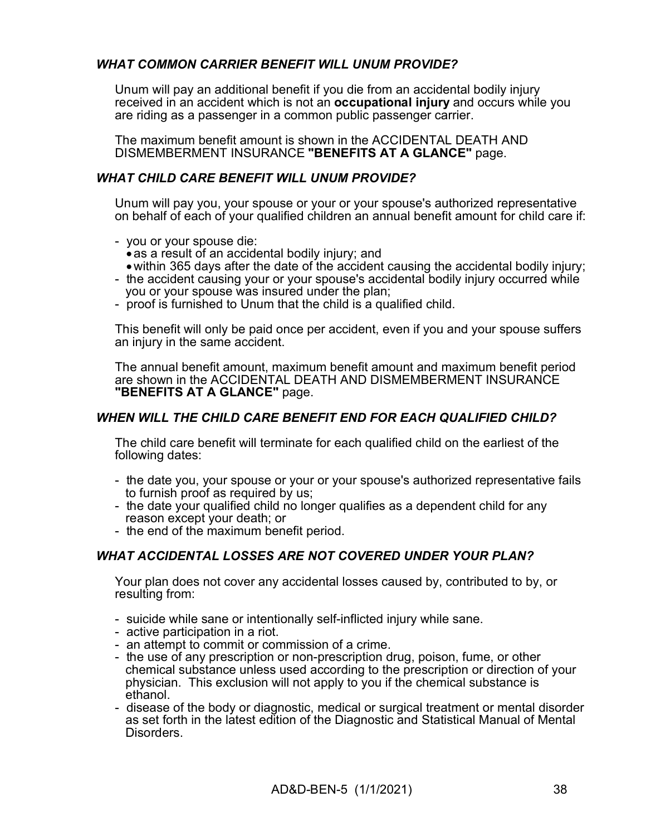### WHAT COMMON CARRIER BENEFIT WILL UNUM PROVIDE?

Unum will pay an additional benefit if you die from an accidental bodily injury received in an accident which is not an occupational injury and occurs while you are riding as a passenger in a common public passenger carrier.

The maximum benefit amount is shown in the ACCIDENTAL DEATH AND DISMEMBERMENT INSURANCE "BENEFITS AT A GLANCE" page.

## WHAT CHILD CARE BENEFIT WILL UNUM PROVIDE?

Unum will pay you, your spouse or your or your spouse's authorized representative on behalf of each of your qualified children an annual benefit amount for child care if:

- you or your spouse die:
	- as a result of an accidental bodily injury; and
	- within 365 days after the date of the accident causing the accidental bodily injury;
- the accident causing your or your spouse's accidental bodily injury occurred while you or your spouse was insured under the plan;
- proof is furnished to Unum that the child is a qualified child.

This benefit will only be paid once per accident, even if you and your spouse suffers an injury in the same accident.

The annual benefit amount, maximum benefit amount and maximum benefit period are shown in the ACCIDENTAL DEATH AND DISMEMBERMENT INSURANCE "BENEFITS AT A GLANCE" page.

### WHEN WILL THE CHILD CARE BENEFIT END FOR EACH QUALIFIED CHILD?

The child care benefit will terminate for each qualified child on the earliest of the following dates:

- the date you, your spouse or your or your spouse's authorized representative fails to furnish proof as required by us;
- the date your qualified child no longer qualifies as a dependent child for any reason except your death; or
- the end of the maximum benefit period.

### WHAT ACCIDENTAL LOSSES ARE NOT COVERED UNDER YOUR PLAN?

Your plan does not cover any accidental losses caused by, contributed to by, or resulting from:

- suicide while sane or intentionally self-inflicted injury while sane.
- active participation in a riot.
- an attempt to commit or commission of a crime.
- the use of any prescription or non-prescription drug, poison, fume, or other chemical substance unless used according to the prescription or direction of your physician. This exclusion will not apply to you if the chemical substance is ethanol.
- disease of the body or diagnostic, medical or surgical treatment or mental disorder as set forth in the latest edition of the Diagnostic and Statistical Manual of Mental Disorders.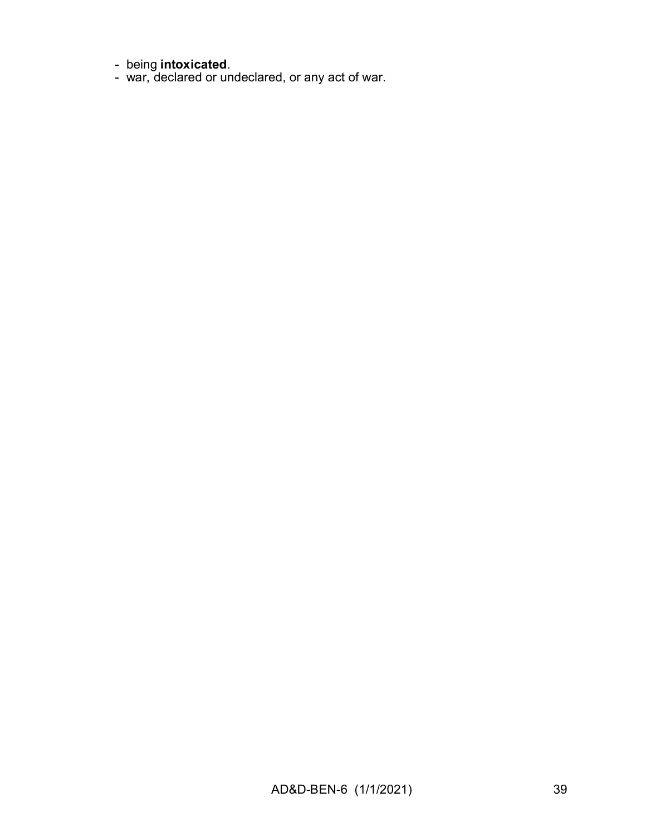- being intoxicated.
- war, declared or undeclared, or any act of war.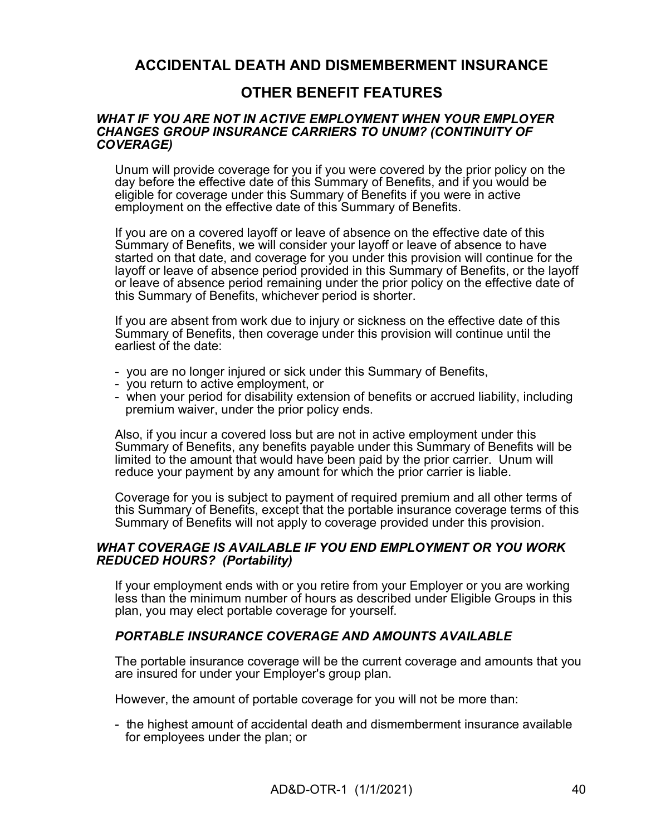## ACCIDENTAL DEATH AND DISMEMBERMENT INSURANCE

## OTHER BENEFIT FEATURES

#### WHAT IF YOU ARE NOT IN ACTIVE EMPLOYMENT WHEN YOUR EMPLOYER CHANGES GROUP INSURANCE CARRIERS TO UNUM? (CONTINUITY OF COVERAGE)

Unum will provide coverage for you if you were covered by the prior policy on the day before the effective date of this Summary of Benefits, and if you would be eligible for coverage under this Summary of Benefits if you were in active employment on the effective date of this Summary of Benefits.

If you are on a covered layoff or leave of absence on the effective date of this Summary of Benefits, we will consider your layoff or leave of absence to have started on that date, and coverage for you under this provision will continue for the layoff or leave of absence period provided in this Summary of Benefits, or the layoff or leave of absence period remaining under the prior policy on the effective date of this Summary of Benefits, whichever period is shorter.

If you are absent from work due to injury or sickness on the effective date of this Summary of Benefits, then coverage under this provision will continue until the earliest of the date:

- you are no longer injured or sick under this Summary of Benefits,
- you return to active employment, or
- when your period for disability extension of benefits or accrued liability, including premium waiver, under the prior policy ends.

Also, if you incur a covered loss but are not in active employment under this Summary of Benefits, any benefits payable under this Summary of Benefits will be limited to the amount that would have been paid by the prior carrier. Unum will reduce your payment by any amount for which the prior carrier is liable.

Coverage for you is subject to payment of required premium and all other terms of this Summary of Benefits, except that the portable insurance coverage terms of this Summary of Benefits will not apply to coverage provided under this provision.

### WHAT COVERAGE IS AVAILABLE IF YOU END EMPLOYMENT OR YOU WORK REDUCED HOURS? (Portability)

If your employment ends with or you retire from your Employer or you are working less than the minimum number of hours as described under Eligible Groups in this plan, you may elect portable coverage for yourself.

### PORTABLE INSURANCE COVERAGE AND AMOUNTS AVAILABLE

The portable insurance coverage will be the current coverage and amounts that you are insured for under your Employer's group plan.

However, the amount of portable coverage for you will not be more than:

- the highest amount of accidental death and dismemberment insurance available for employees under the plan; or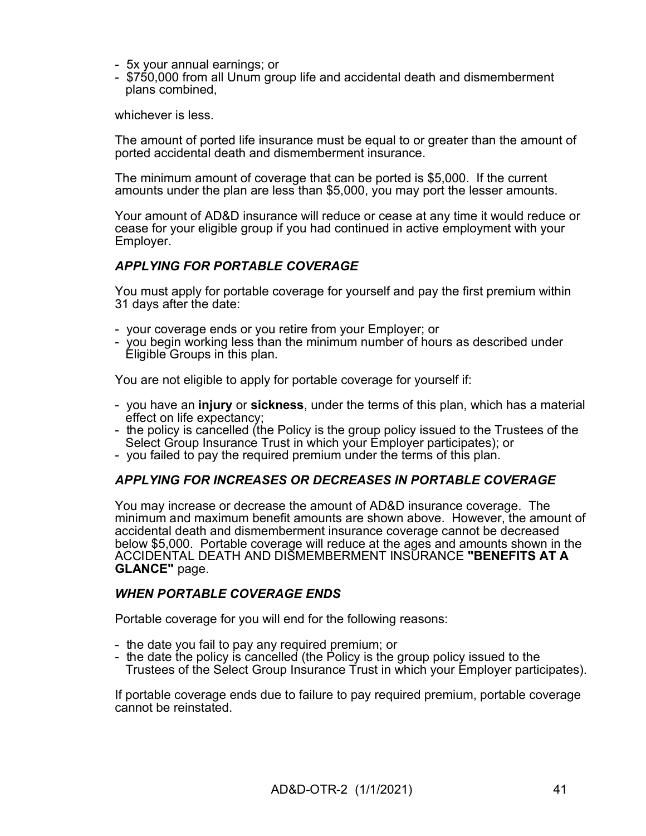- 5x your annual earnings; or
- \$750,000 from all Unum group life and accidental death and dismemberment plans combined,

whichever is less.

The amount of ported life insurance must be equal to or greater than the amount of ported accidental death and dismemberment insurance.

The minimum amount of coverage that can be ported is \$5,000. If the current amounts under the plan are less than \$5,000, you may port the lesser amounts.

Your amount of AD&D insurance will reduce or cease at any time it would reduce or cease for your eligible group if you had continued in active employment with your Employer.

### APPLYING FOR PORTABLE COVERAGE

You must apply for portable coverage for yourself and pay the first premium within 31 days after the date:

- your coverage ends or you retire from your Employer; or
- you begin working less than the minimum number of hours as described under Eligible Groups in this plan.

You are not eligible to apply for portable coverage for yourself if:

- you have an injury or sickness, under the terms of this plan, which has a material effect on life expectancy;
- the policy is cancelled (the Policy is the group policy issued to the Trustees of the Select Group Insurance Trust in which your Employer participates); or
- you failed to pay the required premium under the terms of this plan.

### APPLYING FOR INCREASES OR DECREASES IN PORTABLE COVERAGE

You may increase or decrease the amount of AD&D insurance coverage. The minimum and maximum benefit amounts are shown above. However, the amount of accidental death and dismemberment insurance coverage cannot be decreased below \$5,000. Portable coverage will reduce at the ages and amounts shown in the ACCIDENTAL DEATH AND DISMEMBERMENT INSURANCE "BENEFITS AT A GLANCE" page.

### WHEN PORTABLE COVERAGE ENDS

Portable coverage for you will end for the following reasons:

- the date you fail to pay any required premium; or
- the date the policy is cancelled (the Policy is the group policy issued to the Trustees of the Select Group Insurance Trust in which your Employer participates).

If portable coverage ends due to failure to pay required premium, portable coverage cannot be reinstated.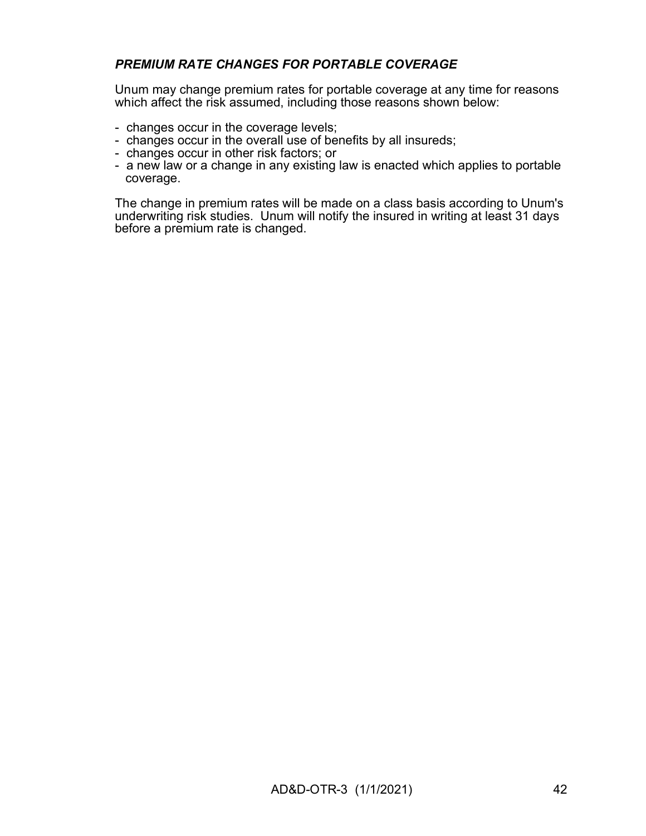## PREMIUM RATE CHANGES FOR PORTABLE COVERAGE

Unum may change premium rates for portable coverage at any time for reasons which affect the risk assumed, including those reasons shown below:

- changes occur in the coverage levels;
- changes occur in the overall use of benefits by all insureds;
- changes occur in other risk factors; or
- a new law or a change in any existing law is enacted which applies to portable coverage.

The change in premium rates will be made on a class basis according to Unum's underwriting risk studies. Unum will notify the insured in writing at least 31 days before a premium rate is changed.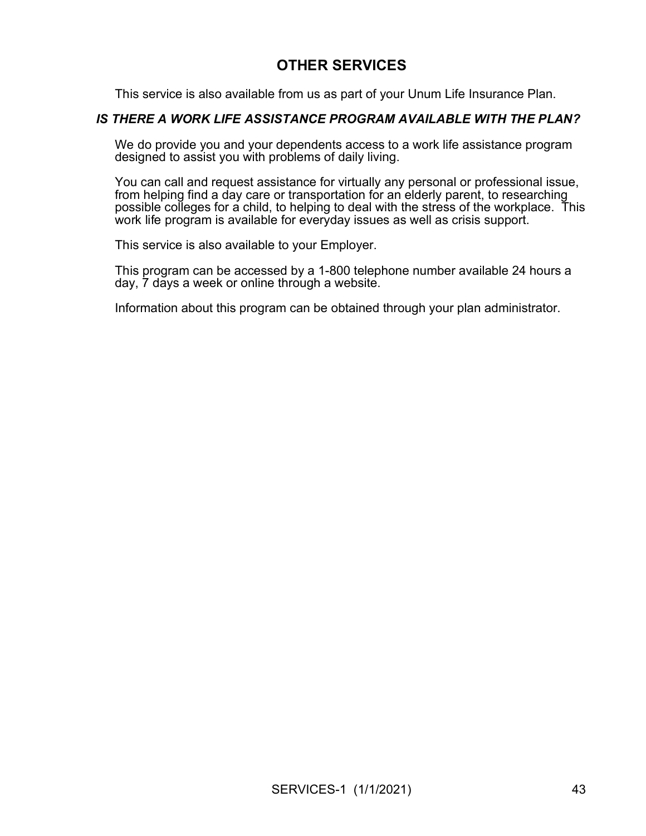## OTHER SERVICES

This service is also available from us as part of your Unum Life Insurance Plan.

### IS THERE A WORK LIFE ASSISTANCE PROGRAM AVAILABLE WITH THE PLAN?

We do provide you and your dependents access to a work life assistance program designed to assist you with problems of daily living.

You can call and request assistance for virtually any personal or professional issue, from helping find a day care or transportation for an elderly parent, to researching possible colleges for a child, to helping to deal with the stress of the workplace. This work life program is available for everyday issues as well as crisis support.

This service is also available to your Employer.

This program can be accessed by a 1-800 telephone number available 24 hours a day, 7 days a week or online through a website.

Information about this program can be obtained through your plan administrator.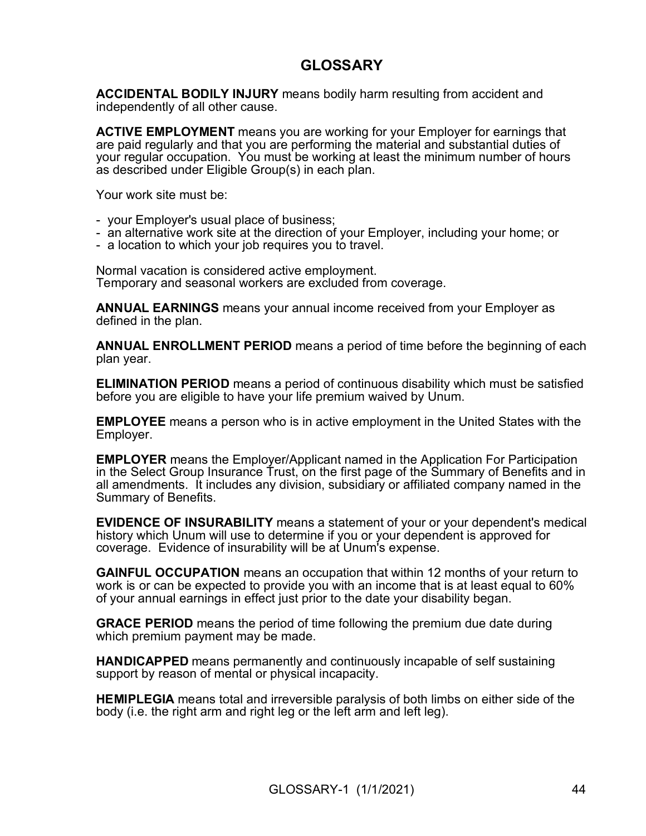## GLOSSARY

ACCIDENTAL BODILY INJURY means bodily harm resulting from accident and independently of all other cause.

ACTIVE EMPLOYMENT means you are working for your Employer for earnings that are paid regularly and that you are performing the material and substantial duties of your regular occupation. You must be working at least the minimum number of hours as described under Eligible Group(s) in each plan.

Your work site must be:

- your Employer's usual place of business;
- an alternative work site at the direction of your Employer, including your home; or
- a location to which your job requires you to travel.

Normal vacation is considered active employment. Temporary and seasonal workers are excluded from coverage.

ANNUAL EARNINGS means your annual income received from your Employer as defined in the plan.

ANNUAL ENROLLMENT PERIOD means a period of time before the beginning of each plan year.

ELIMINATION PERIOD means a period of continuous disability which must be satisfied before you are eligible to have your life premium waived by Unum.

EMPLOYEE means a person who is in active employment in the United States with the Employer.

EMPLOYER means the Employer/Applicant named in the Application For Participation in the Select Group Insurance Trust, on the first page of the Summary of Benefits and in all amendments. It includes any division, subsidiary or affiliated company named in the Summary of Benefits.

EVIDENCE OF INSURABILITY means a statement of your or your dependent's medical history which Unum will use to determine if you or your dependent is approved for coverage. Evidence of insurability will be at Unum's expense.

GAINFUL OCCUPATION means an occupation that within 12 months of your return to work is or can be expected to provide you with an income that is at least equal to 60% of your annual earnings in effect just prior to the date your disability began.

GRACE PERIOD means the period of time following the premium due date during which premium payment may be made.

HANDICAPPED means permanently and continuously incapable of self sustaining support by reason of mental or physical incapacity.

HEMIPLEGIA means total and irreversible paralysis of both limbs on either side of the body (i.e. the right arm and right leg or the left arm and left leg).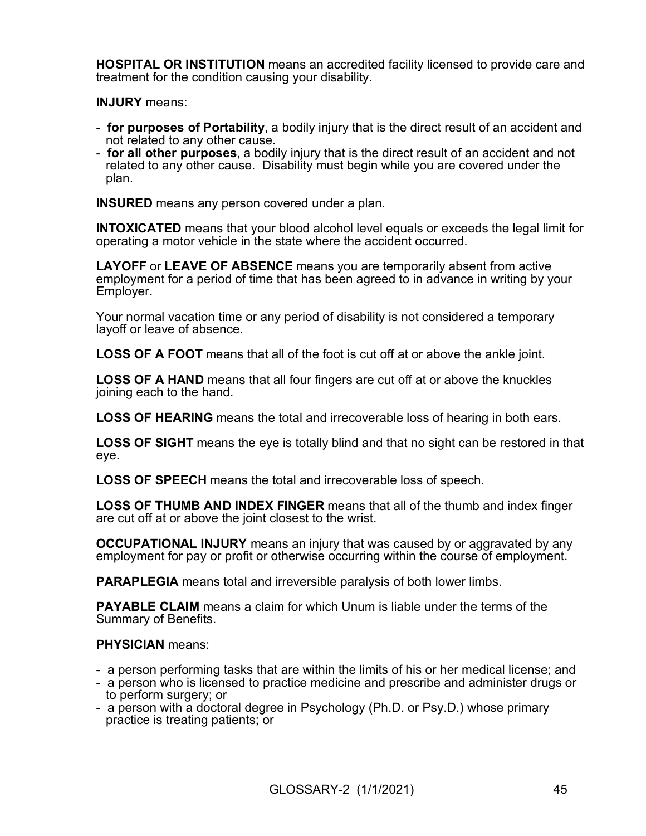HOSPITAL OR INSTITUTION means an accredited facility licensed to provide care and treatment for the condition causing your disability.

INJURY means:

- for purposes of Portability, a bodily injury that is the direct result of an accident and not related to any other cause.
- for all other purposes, a bodily injury that is the direct result of an accident and not related to any other cause. Disability must begin while you are covered under the plan.

INSURED means any person covered under a plan.

INTOXICATED means that your blood alcohol level equals or exceeds the legal limit for operating a motor vehicle in the state where the accident occurred.

LAYOFF or LEAVE OF ABSENCE means you are temporarily absent from active employment for a period of time that has been agreed to in advance in writing by your Employer.

Your normal vacation time or any period of disability is not considered a temporary layoff or leave of absence.

LOSS OF A FOOT means that all of the foot is cut off at or above the ankle joint.

LOSS OF A HAND means that all four fingers are cut off at or above the knuckles joining each to the hand.

LOSS OF HEARING means the total and irrecoverable loss of hearing in both ears.

LOSS OF SIGHT means the eye is totally blind and that no sight can be restored in that eye.

LOSS OF SPEECH means the total and irrecoverable loss of speech.

LOSS OF THUMB AND INDEX FINGER means that all of the thumb and index finger are cut off at or above the joint closest to the wrist.

OCCUPATIONAL INJURY means an injury that was caused by or aggravated by any employment for pay or profit or otherwise occurring within the course of employment.

PARAPLEGIA means total and irreversible paralysis of both lower limbs.

PAYABLE CLAIM means a claim for which Unum is liable under the terms of the Summary of Benefits.

### PHYSICIAN means:

- a person performing tasks that are within the limits of his or her medical license; and
- a person who is licensed to practice medicine and prescribe and administer drugs or to perform surgery; or
- a person with a doctoral degree in Psychology (Ph.D. or Psy.D.) whose primary practice is treating patients; or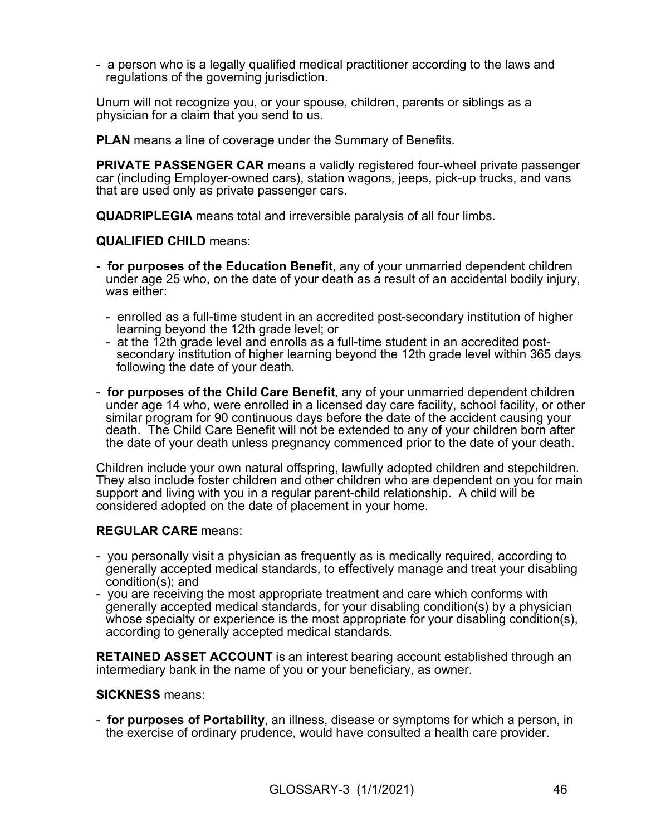- a person who is a legally qualified medical practitioner according to the laws and regulations of the governing jurisdiction.

Unum will not recognize you, or your spouse, children, parents or siblings as a physician for a claim that you send to us.

PLAN means a line of coverage under the Summary of Benefits.

PRIVATE PASSENGER CAR means a validly registered four-wheel private passenger car (including Employer-owned cars), station wagons, jeeps, pick-up trucks, and vans that are used only as private passenger cars.

QUADRIPLEGIA means total and irreversible paralysis of all four limbs.

QUALIFIED CHILD means:

- for purposes of the Education Benefit, any of your unmarried dependent children under age 25 who, on the date of your death as a result of an accidental bodily injury, was either:
	- enrolled as a full-time student in an accredited post-secondary institution of higher learning beyond the 12th grade level; or
	- at the 12th grade level and enrolls as a full-time student in an accredited postsecondary institution of higher learning beyond the 12th grade level within 365 days following the date of your death.
- for purposes of the Child Care Benefit, any of your unmarried dependent children under age 14 who, were enrolled in a licensed day care facility, school facility, or other similar program for 90 continuous days before the date of the accident causing your death. The Child Care Benefit will not be extended to any of your children born after the date of your death unless pregnancy commenced prior to the date of your death.

Children include your own natural offspring, lawfully adopted children and stepchildren. They also include foster children and other children who are dependent on you for main support and living with you in a regular parent-child relationship. A child will be considered adopted on the date of placement in your home.

#### REGULAR CARE means:

- you personally visit a physician as frequently as is medically required, according to generally accepted medical standards, to effectively manage and treat your disabling condition(s); and
- you are receiving the most appropriate treatment and care which conforms with generally accepted medical standards, for your disabling condition(s) by a physician whose specialty or experience is the most appropriate for your disabling condition(s), according to generally accepted medical standards.

RETAINED ASSET ACCOUNT is an interest bearing account established through an intermediary bank in the name of you or your beneficiary, as owner.

#### SICKNESS means:

- for purposes of Portability, an illness, disease or symptoms for which a person, in the exercise of ordinary prudence, would have consulted a health care provider.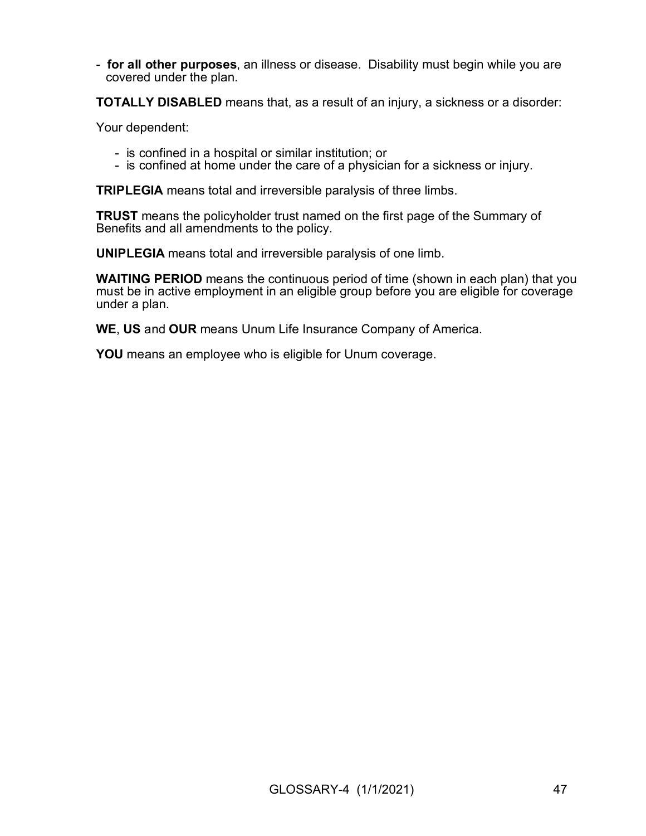- for all other purposes, an illness or disease. Disability must begin while you are covered under the plan.

TOTALLY DISABLED means that, as a result of an injury, a sickness or a disorder:

Your dependent:

- is confined in a hospital or similar institution; or
- is confined at home under the care of a physician for a sickness or injury.

TRIPLEGIA means total and irreversible paralysis of three limbs.

TRUST means the policyholder trust named on the first page of the Summary of Benefits and all amendments to the policy.

UNIPLEGIA means total and irreversible paralysis of one limb.

WAITING PERIOD means the continuous period of time (shown in each plan) that you must be in active employment in an eligible group before you are eligible for coverage under a plan.

WE, US and OUR means Unum Life Insurance Company of America.

YOU means an employee who is eligible for Unum coverage.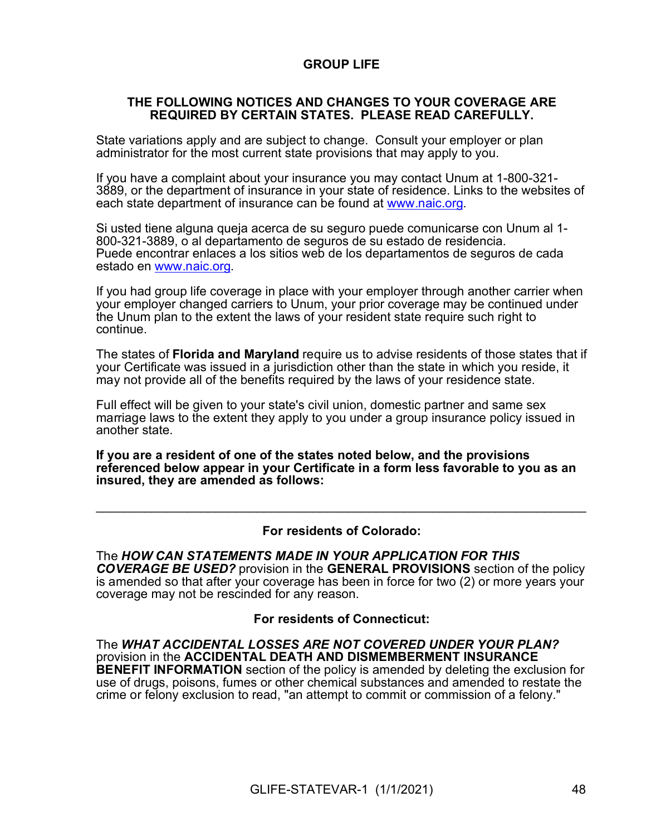### GROUP LIFE

#### THE FOLLOWING NOTICES AND CHANGES TO YOUR COVERAGE ARE REQUIRED BY CERTAIN STATES. PLEASE READ CAREFULLY.

State variations apply and are subject to change. Consult your employer or plan administrator for the most current state provisions that may apply to you.

If you have a complaint about your insurance you may contact Unum at 1-800-321- 3889, or the department of insurance in your state of residence. Links to the websites of each state department of insurance can be found at www.naic.org.

Si usted tiene alguna queja acerca de su seguro puede comunicarse con Unum al 1- 800-321-3889, o al departamento de seguros de su estado de residencia. Puede encontrar enlaces a los sitios web de los departamentos de seguros de cada estado en www.naic.org.

If you had group life coverage in place with your employer through another carrier when your employer changed carriers to Unum, your prior coverage may be continued under the Unum plan to the extent the laws of your resident state require such right to continue.

The states of **Florida and Maryland** require us to advise residents of those states that if your Certificate was issued in a jurisdiction other than the state in which you reside, it may not provide all of the benefits required by the laws of your residence state.

Full effect will be given to your state's civil union, domestic partner and same sex marriage laws to the extent they apply to you under a group insurance policy issued in another state.

If you are a resident of one of the states noted below, and the provisions referenced below appear in your Certificate in a form less favorable to you as an insured, they are amended as follows:

#### For residents of Colorado:

 $\_$  , and the contribution of the contribution of  $\mathcal{L}_1$  , and the contribution of  $\mathcal{L}_2$  , and the contribution of  $\mathcal{L}_1$ 

The HOW CAN STATEMENTS MADE IN YOUR APPLICATION FOR THIS COVERAGE BE USED? provision in the GENERAL PROVISIONS section of the policy is amended so that after your coverage has been in force for two (2) or more years your coverage may not be rescinded for any reason.

#### For residents of Connecticut:

The WHAT ACCIDENTAL LOSSES ARE NOT COVERED UNDER YOUR PLAN? provision in the ACCIDENTAL DEATH AND DISMEMBERMENT INSURANCE **BENEFIT INFORMATION** section of the policy is amended by deleting the exclusion for use of drugs, poisons, fumes or other chemical substances and amended to restate the crime or felony exclusion to read, "an attempt to commit or commission of a felony."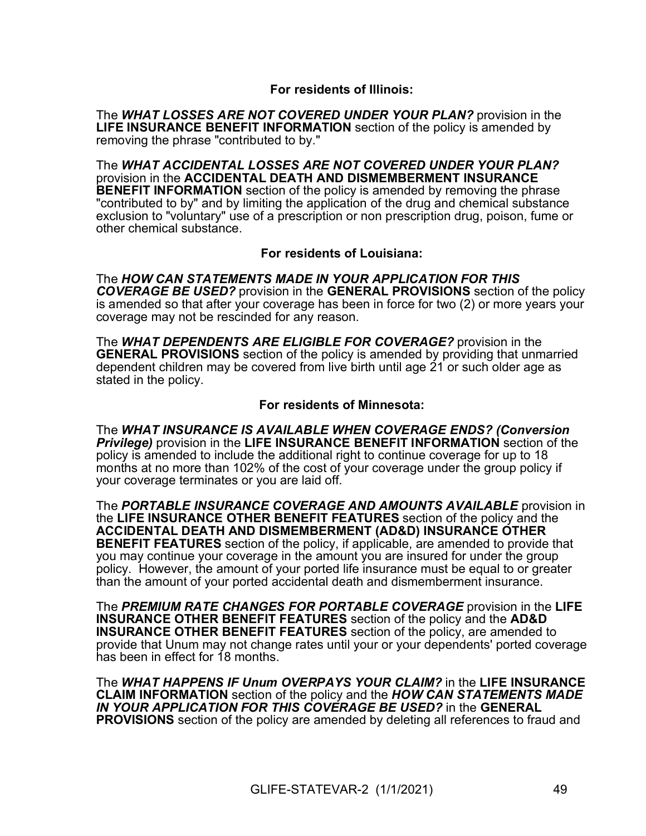### For residents of Illinois:

The WHAT LOSSES ARE NOT COVERED UNDER YOUR PLAN? provision in the LIFE INSURANCE BENEFIT INFORMATION section of the policy is amended by removing the phrase "contributed to by."

The WHAT ACCIDENTAL LOSSES ARE NOT COVERED UNDER YOUR PLAN? provision in the ACCIDENTAL DEATH AND DISMEMBERMENT INSURANCE **BENEFIT INFORMATION** section of the policy is amended by removing the phrase "contributed to by" and by limiting the application of the drug and chemical substance exclusion to "voluntary" use of a prescription or non prescription drug, poison, fume or other chemical substance.

For residents of Louisiana:

The HOW CAN STATEMENTS MADE IN YOUR APPLICATION FOR THIS COVERAGE BE USED? provision in the GENERAL PROVISIONS section of the policy is amended so that after your coverage has been in force for two (2) or more years your coverage may not be rescinded for any reason.

The WHAT DEPENDENTS ARE ELIGIBLE FOR COVERAGE? provision in the **GENERAL PROVISIONS** section of the policy is amended by providing that unmarried dependent children may be covered from live birth until age 21 or such older age as stated in the policy.

#### For residents of Minnesota:

The WHAT INSURANCE IS AVAILABLE WHEN COVERAGE ENDS? (Conversion **Privilege)** provision in the LIFE INSURANCE BENEFIT INFORMATION section of the policy is amended to include the additional right to continue coverage for up to 18 months at no more than 102% of the cost of your coverage under the group policy if your coverage terminates or you are laid off.

The PORTABLE INSURANCE COVERAGE AND AMOUNTS AVAILABLE provision in the LIFE INSURANCE OTHER BENEFIT FEATURES section of the policy and the ACCIDENTAL DEATH AND DISMEMBERMENT (AD&D) INSURANCE OTHER **BENEFIT FEATURES** section of the policy, if applicable, are amended to provide that you may continue your coverage in the amount you are insured for under the group policy. However, the amount of your ported life insurance must be equal to or greater than the amount of your ported accidental death and dismemberment insurance.

The PREMIUM RATE CHANGES FOR PORTABLE COVERAGE provision in the LIFE INSURANCE OTHER BENEFIT FEATURES section of the policy and the AD&D INSURANCE OTHER BENEFIT FEATURES section of the policy, are amended to provide that Unum may not change rates until your or your dependents' ported coverage has been in effect for 18 months.

The WHAT HAPPENS IF Unum OVERPAYS YOUR CLAIM? in the LIFE INSURANCE CLAIM INFORMATION section of the policy and the HOW CAN STATEMENTS MADE IN YOUR APPLICATION FOR THIS COVERAGE BE USED? in the GENERAL PROVISIONS section of the policy are amended by deleting all references to fraud and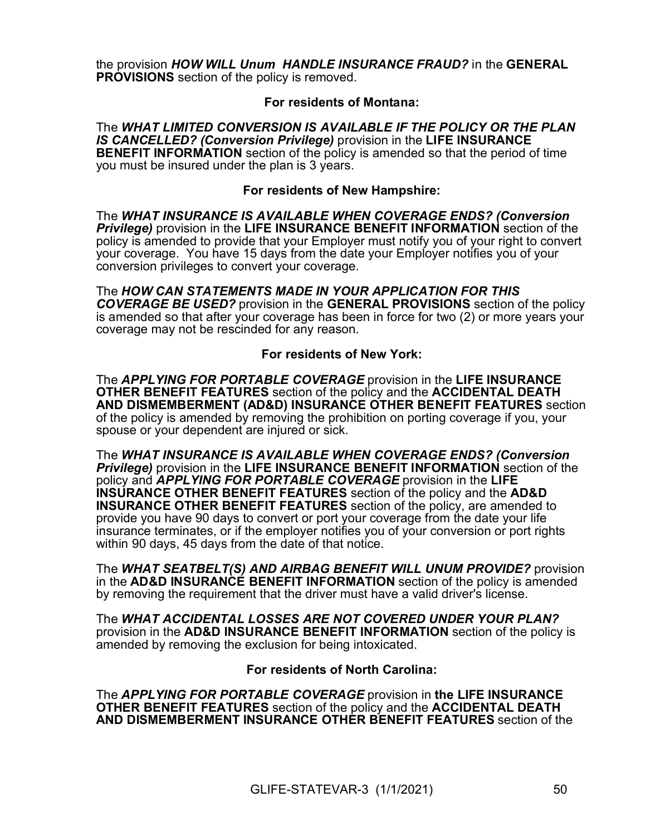the provision HOW WILL Unum HANDLE INSURANCE FRAUD? in the GENERAL **PROVISIONS** section of the policy is removed.

#### For residents of Montana:

The WHAT LIMITED CONVERSION IS AVAILABLE IF THE POLICY OR THE PLAN IS CANCELLED? (Conversion Privilege) provision in the LIFE INSURANCE **BENEFIT INFORMATION** section of the policy is amended so that the period of time you must be insured under the plan is 3 years.

#### For residents of New Hampshire:

The WHAT INSURANCE IS AVAILABLE WHEN COVERAGE ENDS? (Conversion **Privilege)** provision in the LIFE INSURANCE BENEFIT INFORMATION section of the policy is amended to provide that your Employer must notify you of your right to convert your coverage. You have 15 days from the date your Employer notifies you of your conversion privileges to convert your coverage.

The HOW CAN STATEMENTS MADE IN YOUR APPLICATION FOR THIS COVERAGE BE USED? provision in the GENERAL PROVISIONS section of the policy is amended so that after your coverage has been in force for two (2) or more years your coverage may not be rescinded for any reason.

#### For residents of New York:

The APPLYING FOR PORTABLE COVERAGE provision in the LIFE INSURANCE OTHER BENEFIT FEATURES section of the policy and the ACCIDENTAL DEATH AND DISMEMBERMENT (AD&D) INSURANCE OTHER BENEFIT FEATURES section of the policy is amended by removing the prohibition on porting coverage if you, your spouse or your dependent are injured or sick.

The WHAT INSURANCE IS AVAILABLE WHEN COVERAGE ENDS? (Conversion **Privilege)** provision in the LIFE INSURANCE BENEFIT INFORMATION section of the policy and APPLYING FOR PORTABLE COVERAGE provision in the LIFE INSURANCE OTHER BENEFIT FEATURES section of the policy and the AD&D INSURANCE OTHER BENEFIT FEATURES section of the policy, are amended to provide you have 90 days to convert or port your coverage from the date your life insurance terminates, or if the employer notifies you of your conversion or port rights within 90 days, 45 days from the date of that notice.

The WHAT SEATBELT(S) AND AIRBAG BENEFIT WILL UNUM PROVIDE? provision in the **AD&D INSURANCE BENEFIT INFORMATION** section of the policy is amended by removing the requirement that the driver must have a valid driver's license.

The WHAT ACCIDENTAL LOSSES ARE NOT COVERED UNDER YOUR PLAN? provision in the AD&D INSURANCE BENEFIT INFORMATION section of the policy is amended by removing the exclusion for being intoxicated.

#### For residents of North Carolina:

The APPLYING FOR PORTABLE COVERAGE provision in the LIFE INSURANCE OTHER BENEFIT FEATURES section of the policy and the ACCIDENTAL DEATH AND DISMEMBERMENT INSURANCE OTHER BENEFIT FEATURES section of the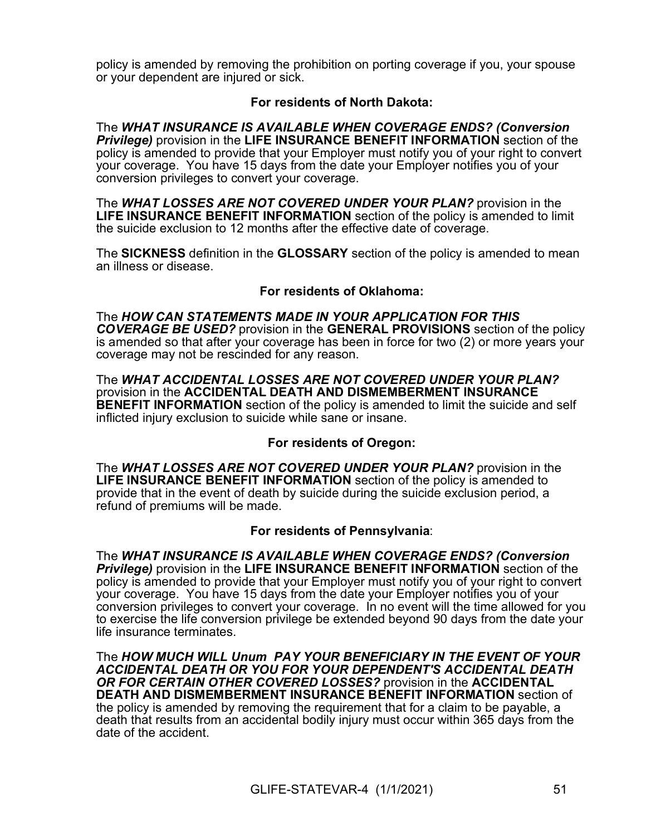policy is amended by removing the prohibition on porting coverage if you, your spouse or your dependent are injured or sick.

### For residents of North Dakota:

The WHAT INSURANCE IS AVAILABLE WHEN COVERAGE ENDS? (Conversion **Privilege)** provision in the LIFE INSURANCE BENEFIT INFORMATION section of the policy is amended to provide that your Employer must notify you of your right to convert your coverage. You have 15 days from the date your Employer notifies you of your conversion privileges to convert your coverage.

The WHAT LOSSES ARE NOT COVERED UNDER YOUR PLAN? provision in the LIFE INSURANCE BENEFIT INFORMATION section of the policy is amended to limit the suicide exclusion to 12 months after the effective date of coverage.

The SICKNESS definition in the GLOSSARY section of the policy is amended to mean an illness or disease.

### For residents of Oklahoma:

The HOW CAN STATEMENTS MADE IN YOUR APPLICATION FOR THIS COVERAGE BE USED? provision in the GENERAL PROVISIONS section of the policy is amended so that after your coverage has been in force for two (2) or more years your coverage may not be rescinded for any reason.

The WHAT ACCIDENTAL LOSSES ARE NOT COVERED UNDER YOUR PLAN? provision in the ACCIDENTAL DEATH AND DISMEMBERMENT INSURANCE **BENEFIT INFORMATION** section of the policy is amended to limit the suicide and self inflicted injury exclusion to suicide while sane or insane.

### For residents of Oregon:

The WHAT LOSSES ARE NOT COVERED UNDER YOUR PLAN? provision in the LIFE INSURANCE BENEFIT INFORMATION section of the policy is amended to provide that in the event of death by suicide during the suicide exclusion period, a refund of premiums will be made.

### For residents of Pennsylvania:

The WHAT INSURANCE IS AVAILABLE WHEN COVERAGE ENDS? (Conversion **Privilege)** provision in the LIFE INSURANCE BENEFIT INFORMATION section of the policy is amended to provide that your Employer must notify you of your right to convert your coverage. You have 15 days from the date your Employer notifies you of your conversion privileges to convert your coverage. In no event will the time allowed for you to exercise the life conversion privilege be extended beyond 90 days from the date your life insurance terminates.

The HOW MUCH WILL Unum PAY YOUR BENEFICIARY IN THE EVENT OF YOUR ACCIDENTAL DEATH OR YOU FOR YOUR DEPENDENT'S ACCIDENTAL DEATH OR FOR CERTAIN OTHER COVERED LOSSES? provision in the ACCIDENTAL DEATH AND DISMEMBERMENT INSURANCE BENEFIT INFORMATION section of the policy is amended by removing the requirement that for a claim to be payable, a death that results from an accidental bodily injury must occur within 365 days from the date of the accident.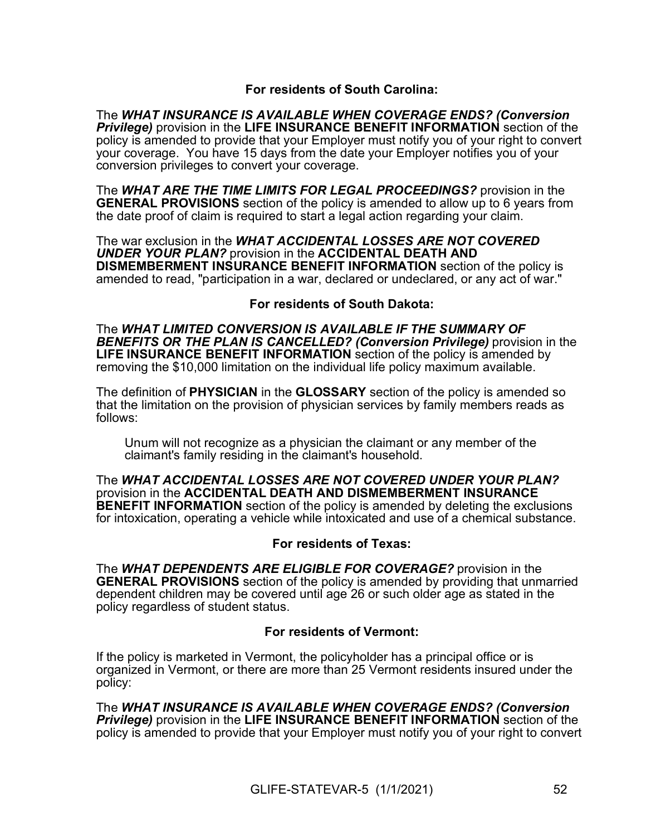### For residents of South Carolina:

The WHAT INSURANCE IS AVAILABLE WHEN COVERAGE ENDS? (Conversion **Privilege)** provision in the LIFE INSURANCE BENEFIT INFORMATION section of the policy is amended to provide that your Employer must notify you of your right to convert your coverage. You have 15 days from the date your Employer notifies you of your conversion privileges to convert your coverage.

The WHAT ARE THE TIME LIMITS FOR LEGAL PROCEEDINGS? provision in the GENERAL PROVISIONS section of the policy is amended to allow up to 6 years from the date proof of claim is required to start a legal action regarding your claim.

The war exclusion in the WHAT ACCIDENTAL LOSSES ARE NOT COVERED UNDER YOUR PLAN? provision in the ACCIDENTAL DEATH AND DISMEMBERMENT INSURANCE BENEFIT INFORMATION section of the policy is amended to read, "participation in a war, declared or undeclared, or any act of war."

### For residents of South Dakota:

The WHAT LIMITED CONVERSION IS AVAILABLE IF THE SUMMARY OF BENEFITS OR THE PLAN IS CANCELLED? (Conversion Privilege) provision in the LIFE INSURANCE BENEFIT INFORMATION section of the policy is amended by removing the \$10,000 limitation on the individual life policy maximum available.

The definition of PHYSICIAN in the GLOSSARY section of the policy is amended so that the limitation on the provision of physician services by family members reads as follows:

Unum will not recognize as a physician the claimant or any member of the claimant's family residing in the claimant's household.

The WHAT ACCIDENTAL LOSSES ARE NOT COVERED UNDER YOUR PLAN? provision in the ACCIDENTAL DEATH AND DISMEMBERMENT INSURANCE **BENEFIT INFORMATION** section of the policy is amended by deleting the exclusions for intoxication, operating a vehicle while intoxicated and use of a chemical substance.

### For residents of Texas:

The WHAT DEPENDENTS ARE ELIGIBLE FOR COVERAGE? provision in the **GENERAL PROVISIONS** section of the policy is amended by providing that unmarried dependent children may be covered until age 26 or such older age as stated in the policy regardless of student status.

### For residents of Vermont:

If the policy is marketed in Vermont, the policyholder has a principal office or is organized in Vermont, or there are more than 25 Vermont residents insured under the policy:

The WHAT INSURANCE IS AVAILABLE WHEN COVERAGE ENDS? (Conversion **Privilege)** provision in the LIFE INSURANCE BENEFIT INFORMATION section of the policy is amended to provide that your Employer must notify you of your right to convert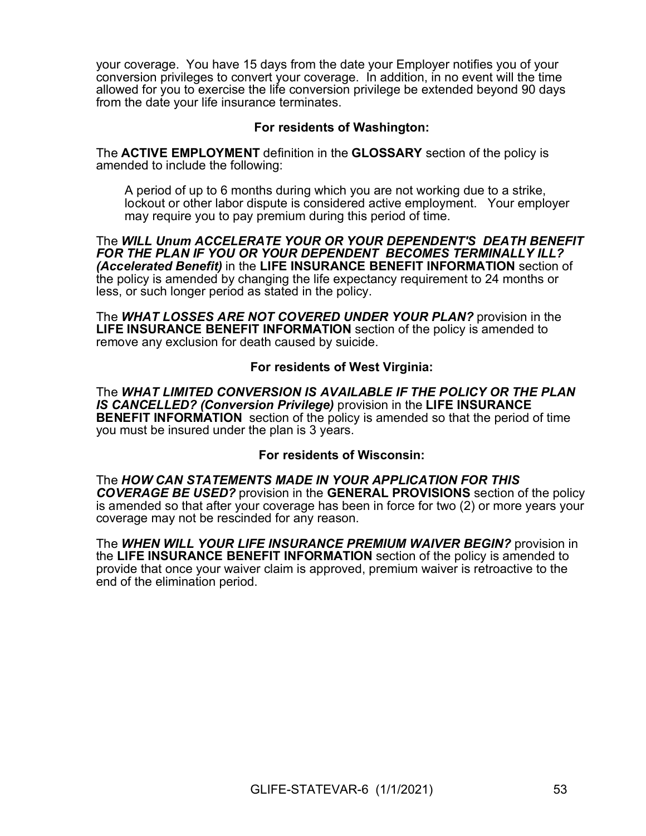your coverage. You have 15 days from the date your Employer notifies you of your conversion privileges to convert your coverage. In addition, in no event will the time allowed for you to exercise the life conversion privilege be extended beyond 90 days from the date your life insurance terminates.

### For residents of Washington:

The ACTIVE EMPLOYMENT definition in the GLOSSARY section of the policy is amended to include the following:

A period of up to 6 months during which you are not working due to a strike, lockout or other labor dispute is considered active employment. Your employer may require you to pay premium during this period of time.

The WILL Unum ACCELERATE YOUR OR YOUR DEPENDENT'S DEATH BENEFIT FOR THE PLAN IF YOU OR YOUR DEPENDENT BECOMES TERMINALLY ILL? (Accelerated Benefit) in the LIFE INSURANCE BENEFIT INFORMATION section of the policy is amended by changing the life expectancy requirement to 24 months or less, or such longer period as stated in the policy.

The WHAT LOSSES ARE NOT COVERED UNDER YOUR PLAN? provision in the LIFE INSURANCE BENEFIT INFORMATION section of the policy is amended to remove any exclusion for death caused by suicide.

### For residents of West Virginia:

The WHAT LIMITED CONVERSION IS AVAILABLE IF THE POLICY OR THE PLAN IS CANCELLED? (Conversion Privilege) provision in the LIFE INSURANCE BENEFIT INFORMATION section of the policy is amended so that the period of time you must be insured under the plan is 3 years.

### For residents of Wisconsin:

The HOW CAN STATEMENTS MADE IN YOUR APPLICATION FOR THIS COVERAGE BE USED? provision in the GENERAL PROVISIONS section of the policy is amended so that after your coverage has been in force for two (2) or more years your coverage may not be rescinded for any reason.

The WHEN WILL YOUR LIFE INSURANCE PREMIUM WAIVER BEGIN? provision in the LIFE INSURANCE BENEFIT INFORMATION section of the policy is amended to provide that once your waiver claim is approved, premium waiver is retroactive to the end of the elimination period.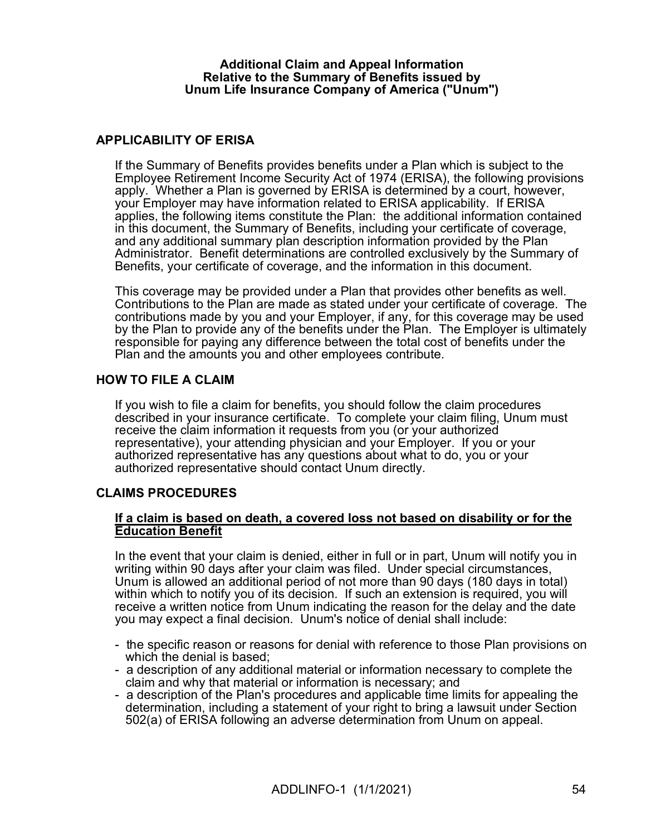#### Additional Claim and Appeal Information Relative to the Summary of Benefits issued by Unum Life Insurance Company of America ("Unum")

### APPLICABILITY OF ERISA

If the Summary of Benefits provides benefits under a Plan which is subject to the Employee Retirement Income Security Act of 1974 (ERISA), the following provisions apply. Whether a Plan is governed by ERISA is determined by a court, however, your Employer may have information related to ERISA applicability. If ERISA applies, the following items constitute the Plan: the additional information contained in this document, the Summary of Benefits, including your certificate of coverage, and any additional summary plan description information provided by the Plan Administrator. Benefit determinations are controlled exclusively by the Summary of Benefits, your certificate of coverage, and the information in this document.

This coverage may be provided under a Plan that provides other benefits as well. Contributions to the Plan are made as stated under your certificate of coverage. The contributions made by you and your Employer, if any, for this coverage may be used by the Plan to provide any of the benefits under the Plan. The Employer is ultimately responsible for paying any difference between the total cost of benefits under the Plan and the amounts you and other employees contribute.

### HOW TO FILE A CLAIM

If you wish to file a claim for benefits, you should follow the claim procedures described in your insurance certificate. To complete your claim filing, Unum must receive the claim information it requests from you (or your authorized representative), your attending physician and your Employer. If you or your authorized representative has any questions about what to do, you or your authorized representative should contact Unum directly.

### CLAIMS PROCEDURES

### If a claim is based on death, a covered loss not based on disability or for the Education Benefit

In the event that your claim is denied, either in full or in part, Unum will notify you in writing within 90 days after your claim was filed. Under special circumstances, Unum is allowed an additional period of not more than 90 days (180 days in total) within which to notify you of its decision. If such an extension is required, you will receive a written notice from Unum indicating the reason for the delay and the date you may expect a final decision. Unum's notice of denial shall include:

- the specific reason or reasons for denial with reference to those Plan provisions on which the denial is based;
- a description of any additional material or information necessary to complete the claim and why that material or information is necessary; and
- a description of the Plan's procedures and applicable time limits for appealing the determination, including a statement of your right to bring a lawsuit under Section 502(a) of ERISA following an adverse determination from Unum on appeal.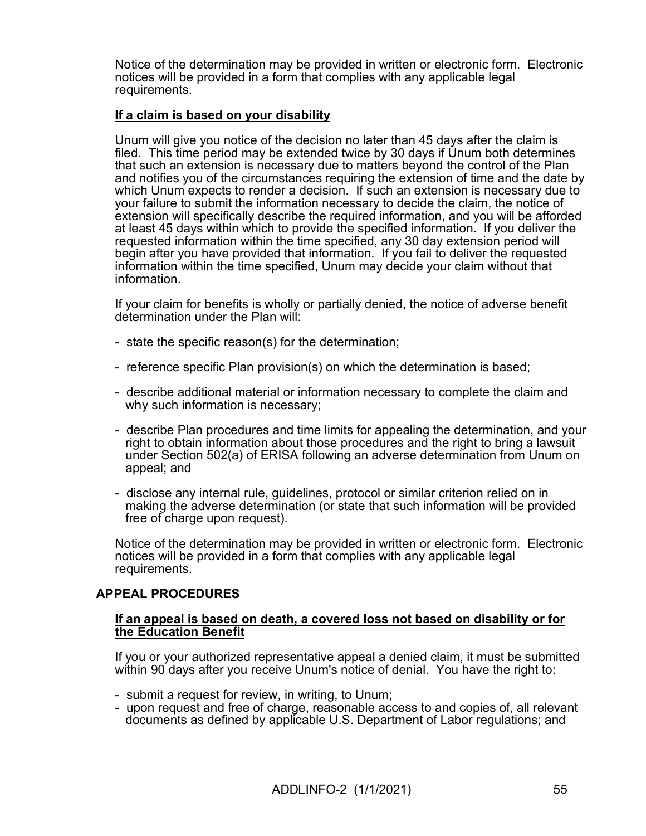Notice of the determination may be provided in written or electronic form. Electronic notices will be provided in a form that complies with any applicable legal requirements.

### If a claim is based on your disability

Unum will give you notice of the decision no later than 45 days after the claim is filed. This time period may be extended twice by 30 days if Unum both determines that such an extension is necessary due to matters beyond the control of the Plan and notifies you of the circumstances requiring the extension of time and the date by which Unum expects to render a decision. If such an extension is necessary due to your failure to submit the information necessary to decide the claim, the notice of extension will specifically describe the required information, and you will be afforded at least 45 days within which to provide the specified information. If you deliver the requested information within the time specified, any 30 day extension period will begin after you have provided that information. If you fail to deliver the requested information within the time specified, Unum may decide your claim without that information.

If your claim for benefits is wholly or partially denied, the notice of adverse benefit determination under the Plan will:

- state the specific reason(s) for the determination;
- reference specific Plan provision(s) on which the determination is based;
- describe additional material or information necessary to complete the claim and why such information is necessary;
- describe Plan procedures and time limits for appealing the determination, and your right to obtain information about those procedures and the right to bring a lawsuit under Section 502(a) of ERISA following an adverse determination from Unum on appeal; and
- disclose any internal rule, guidelines, protocol or similar criterion relied on in making the adverse determination (or state that such information will be provided free of charge upon request).

Notice of the determination may be provided in written or electronic form. Electronic notices will be provided in a form that complies with any applicable legal requirements.

### APPEAL PROCEDURES

#### If an appeal is based on death, a covered loss not based on disability or for the Education Benefit

If you or your authorized representative appeal a denied claim, it must be submitted within 90 days after you receive Unum's notice of denial. You have the right to:

- submit a request for review, in writing, to Unum;
- upon request and free of charge, reasonable access to and copies of, all relevant documents as defined by applicable U.S. Department of Labor regulations; and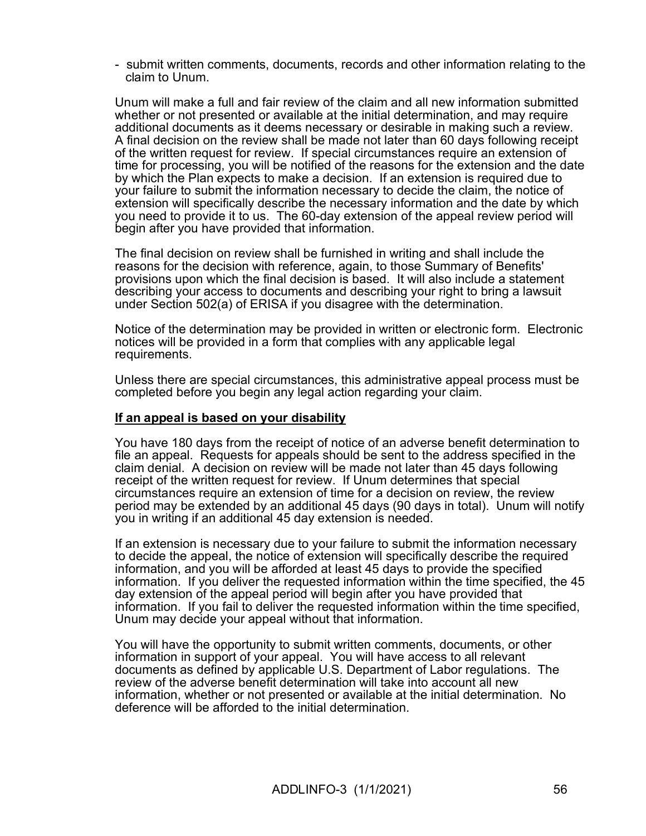- submit written comments, documents, records and other information relating to the claim to Unum.

Unum will make a full and fair review of the claim and all new information submitted whether or not presented or available at the initial determination, and may require additional documents as it deems necessary or desirable in making such a review. A final decision on the review shall be made not later than 60 days following receipt of the written request for review. If special circumstances require an extension of time for processing, you will be notified of the reasons for the extension and the date by which the Plan expects to make a decision. If an extension is required due to your failure to submit the information necessary to decide the claim, the notice of extension will specifically describe the necessary information and the date by which you need to provide it to us. The 60-day extension of the appeal review period will begin after you have provided that information.

The final decision on review shall be furnished in writing and shall include the reasons for the decision with reference, again, to those Summary of Benefits' provisions upon which the final decision is based. It will also include a statement describing your access to documents and describing your right to bring a lawsuit under Section 502(a) of ERISA if you disagree with the determination.

Notice of the determination may be provided in written or electronic form. Electronic notices will be provided in a form that complies with any applicable legal requirements.

Unless there are special circumstances, this administrative appeal process must be completed before you begin any legal action regarding your claim.

### If an appeal is based on your disability

You have 180 days from the receipt of notice of an adverse benefit determination to file an appeal. Requests for appeals should be sent to the address specified in the claim denial. A decision on review will be made not later than 45 days following receipt of the written request for review. If Unum determines that special circumstances require an extension of time for a decision on review, the review period may be extended by an additional 45 days (90 days in total). Unum will notify you in writing if an additional 45 day extension is needed.

If an extension is necessary due to your failure to submit the information necessary to decide the appeal, the notice of extension will specifically describe the required information, and you will be afforded at least 45 days to provide the specified information. If you deliver the requested information within the time specified, the 45 day extension of the appeal period will begin after you have provided that information. If you fail to deliver the requested information within the time specified, Unum may decide your appeal without that information.

You will have the opportunity to submit written comments, documents, or other information in support of your appeal. You will have access to all relevant documents as defined by applicable U.S. Department of Labor regulations. The review of the adverse benefit determination will take into account all new information, whether or not presented or available at the initial determination. No deference will be afforded to the initial determination.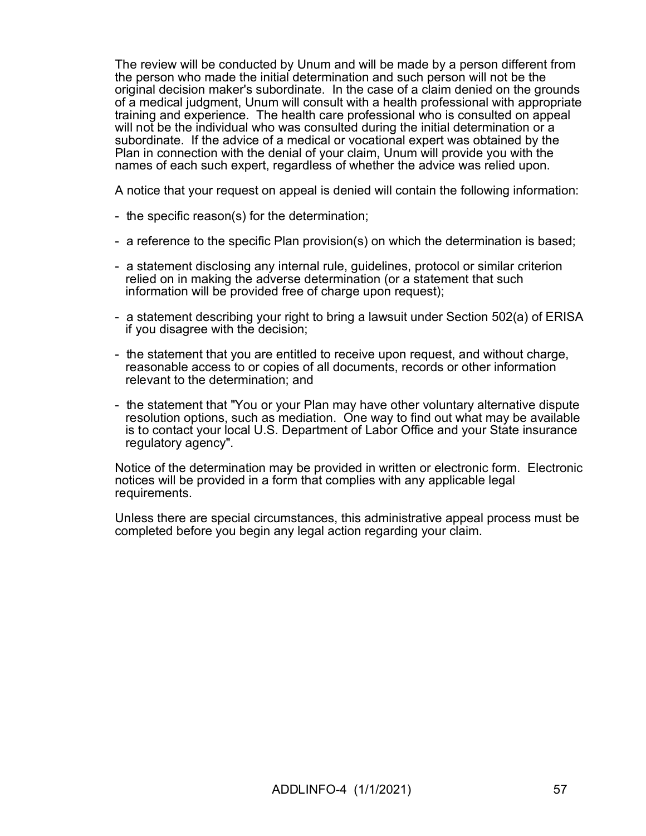The review will be conducted by Unum and will be made by a person different from the person who made the initial determination and such person will not be the original decision maker's subordinate. In the case of a claim denied on the grounds of a medical judgment, Unum will consult with a health professional with appropriate training and experience. The health care professional who is consulted on appeal will not be the individual who was consulted during the initial determination or a subordinate. If the advice of a medical or vocational expert was obtained by the Plan in connection with the denial of your claim, Unum will provide you with the names of each such expert, regardless of whether the advice was relied upon.

A notice that your request on appeal is denied will contain the following information:

- the specific reason(s) for the determination;
- a reference to the specific Plan provision(s) on which the determination is based;
- a statement disclosing any internal rule, guidelines, protocol or similar criterion relied on in making the adverse determination (or a statement that such information will be provided free of charge upon request);
- a statement describing your right to bring a lawsuit under Section 502(a) of ERISA if you disagree with the decision;
- the statement that you are entitled to receive upon request, and without charge, reasonable access to or copies of all documents, records or other information relevant to the determination; and
- the statement that "You or your Plan may have other voluntary alternative dispute resolution options, such as mediation. One way to find out what may be available is to contact your local U.S. Department of Labor Office and your State insurance regulatory agency".

Notice of the determination may be provided in written or electronic form. Electronic notices will be provided in a form that complies with any applicable legal requirements.

Unless there are special circumstances, this administrative appeal process must be completed before you begin any legal action regarding your claim.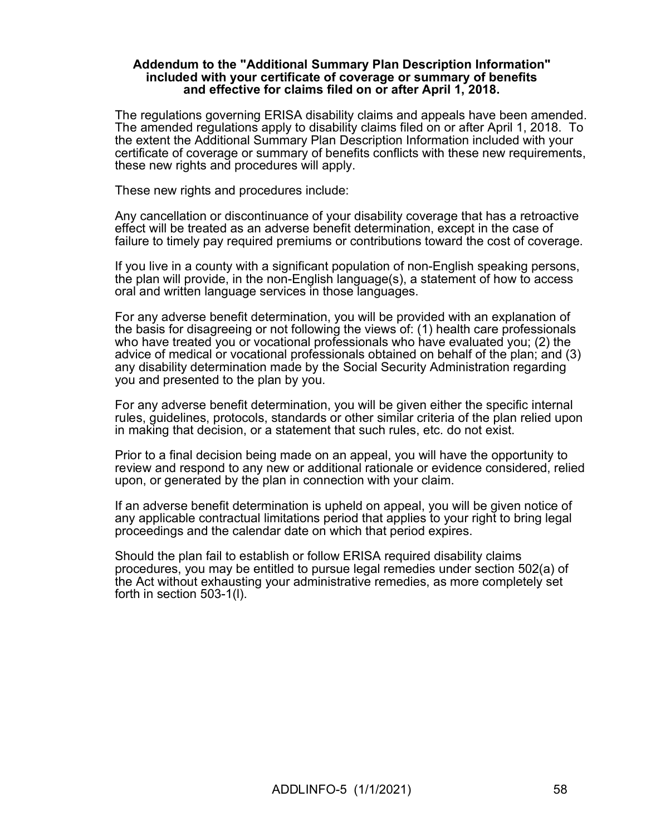#### Addendum to the "Additional Summary Plan Description Information" included with your certificate of coverage or summary of benefits and effective for claims filed on or after April 1, 2018.

The regulations governing ERISA disability claims and appeals have been amended. The amended regulations apply to disability claims filed on or after April 1, 2018. To the extent the Additional Summary Plan Description Information included with your certificate of coverage or summary of benefits conflicts with these new requirements, these new rights and procedures will apply.

These new rights and procedures include:

Any cancellation or discontinuance of your disability coverage that has a retroactive effect will be treated as an adverse benefit determination, except in the case of failure to timely pay required premiums or contributions toward the cost of coverage.

If you live in a county with a significant population of non-English speaking persons, the plan will provide, in the non-English language(s), a statement of how to access oral and written language services in those languages.

For any adverse benefit determination, you will be provided with an explanation of the basis for disagreeing or not following the views of: (1) health care professionals who have treated you or vocational professionals who have evaluated you; (2) the advice of medical or vocational professionals obtained on behalf of the plan; and (3) any disability determination made by the Social Security Administration regarding you and presented to the plan by you.

For any adverse benefit determination, you will be given either the specific internal rules, guidelines, protocols, standards or other similar criteria of the plan relied upon in making that decision, or a statement that such rules, etc. do not exist.

Prior to a final decision being made on an appeal, you will have the opportunity to review and respond to any new or additional rationale or evidence considered, relied upon, or generated by the plan in connection with your claim.

If an adverse benefit determination is upheld on appeal, you will be given notice of any applicable contractual limitations period that applies to your right to bring legal proceedings and the calendar date on which that period expires.

Should the plan fail to establish or follow ERISA required disability claims procedures, you may be entitled to pursue legal remedies under section 502(a) of the Act without exhausting your administrative remedies, as more completely set forth in section 503-1(l).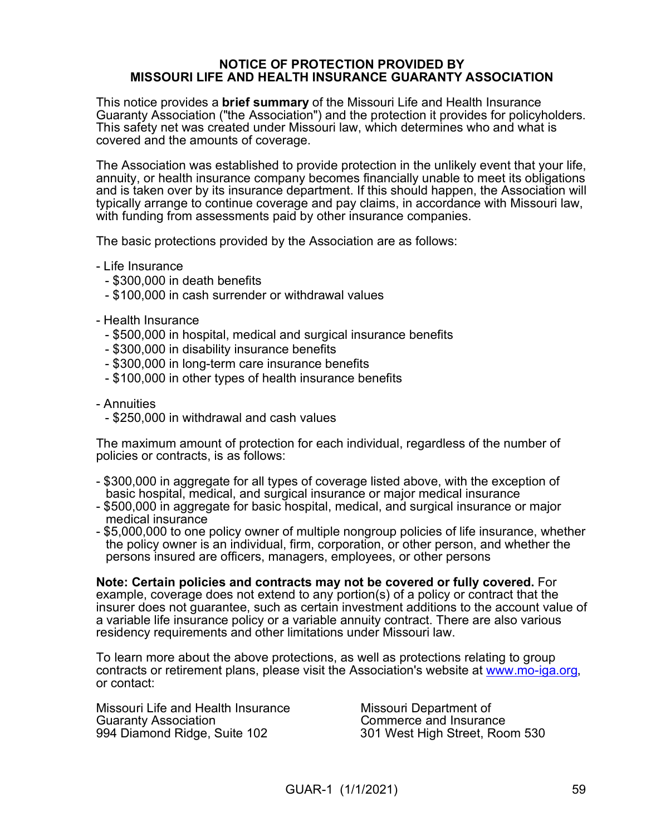#### NOTICE OF PROTECTION PROVIDED BY MISSOURI LIFE AND HEALTH INSURANCE GUARANTY ASSOCIATION

This notice provides a **brief summary** of the Missouri Life and Health Insurance Guaranty Association ("the Association") and the protection it provides for policyholders. This safety net was created under Missouri law, which determines who and what is covered and the amounts of coverage.

The Association was established to provide protection in the unlikely event that your life, annuity, or health insurance company becomes financially unable to meet its obligations and is taken over by its insurance department. If this should happen, the Association will typically arrange to continue coverage and pay claims, in accordance with Missouri law, with funding from assessments paid by other insurance companies.

The basic protections provided by the Association are as follows:

- Life Insurance

- \$300,000 in death benefits
- \$100,000 in cash surrender or withdrawal values

#### - Health Insurance

- \$500,000 in hospital, medical and surgical insurance benefits
- \$300,000 in disability insurance benefits
- \$300,000 in long-term care insurance benefits
- \$100,000 in other types of health insurance benefits
- Annuities
	- \$250,000 in withdrawal and cash values

The maximum amount of protection for each individual, regardless of the number of policies or contracts, is as follows:

- \$300,000 in aggregate for all types of coverage listed above, with the exception of basic hospital, medical, and surgical insurance or major medical insurance
- \$500,000 in aggregate for basic hospital, medical, and surgical insurance or major medical insurance
- \$5,000,000 to one policy owner of multiple nongroup policies of life insurance, whether the policy owner is an individual, firm, corporation, or other person, and whether the persons insured are officers, managers, employees, or other persons

Note: Certain policies and contracts may not be covered or fully covered. For example, coverage does not extend to any portion(s) of a policy or contract that the insurer does not guarantee, such as certain investment additions to the account value of a variable life insurance policy or a variable annuity contract. There are also various residency requirements and other limitations under Missouri law.

To learn more about the above protections, as well as protections relating to group contracts or retirement plans, please visit the Association's website at www.mo-iga.org, or contact:

Missouri Life and Health Insurance Missouri Department of Guaranty Association<br>
Guaranty Association Guaranty Association<br>
994 Diamond Ridge, Suite 102 102 105 301 West High Street, Roc

301 West High Street, Room 530